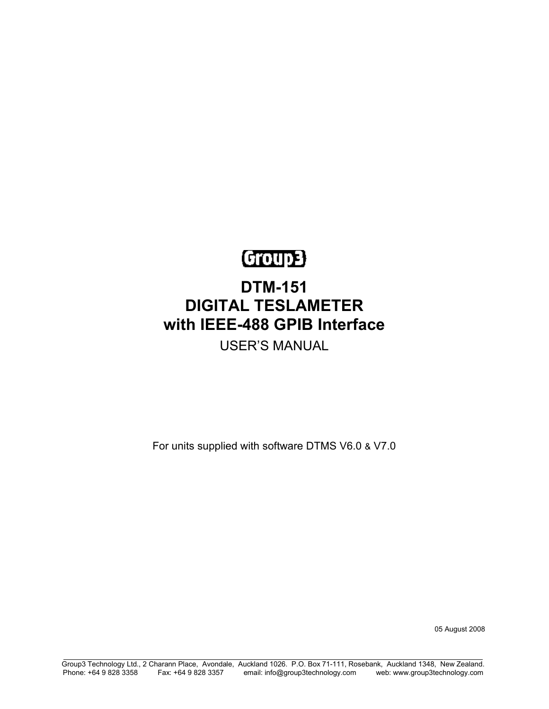# Group3

# **DTM-151 DIGITAL TESLAMETER with IEEE-488 GPIB Interface**

USER'S MANUAL

For units supplied with software DTMS V6.0 & V7.0

05 August 2008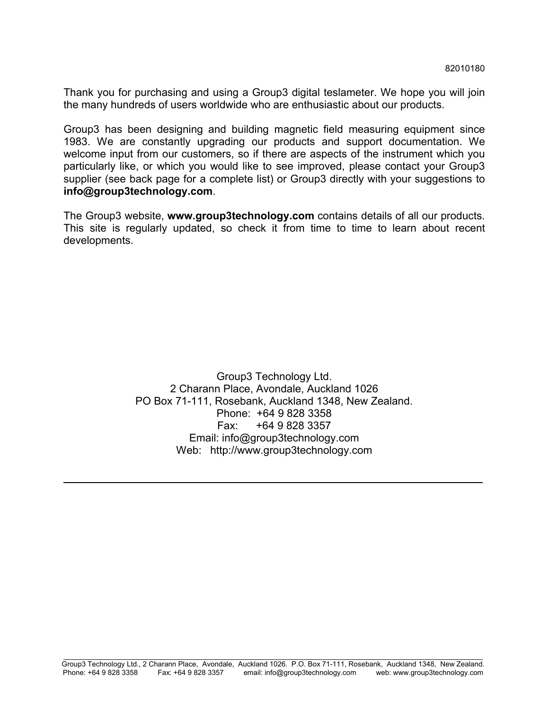Thank you for purchasing and using a Group3 digital teslameter. We hope you will join the many hundreds of users worldwide who are enthusiastic about our products.

Group3 has been designing and building magnetic field measuring equipment since 1983. We are constantly upgrading our products and support documentation. We welcome input from our customers, so if there are aspects of the instrument which you particularly like, or which you would like to see improved, please contact your Group3 supplier (see back page for a complete list) or Group3 directly with your suggestions to **info@group3technology.com**.

The Group3 website, **www.group3technology.com** contains details of all our products. This site is regularly updated, so check it from time to time to learn about recent developments.

> Group3 Technology Ltd. 2 Charann Place, Avondale, Auckland 1026 PO Box 71-111, Rosebank, Auckland 1348, New Zealand. Phone: +64 9 828 3358 Fax: +64 9 828 3357 Email: info@group3technology.com Web: http://www.group3technology.com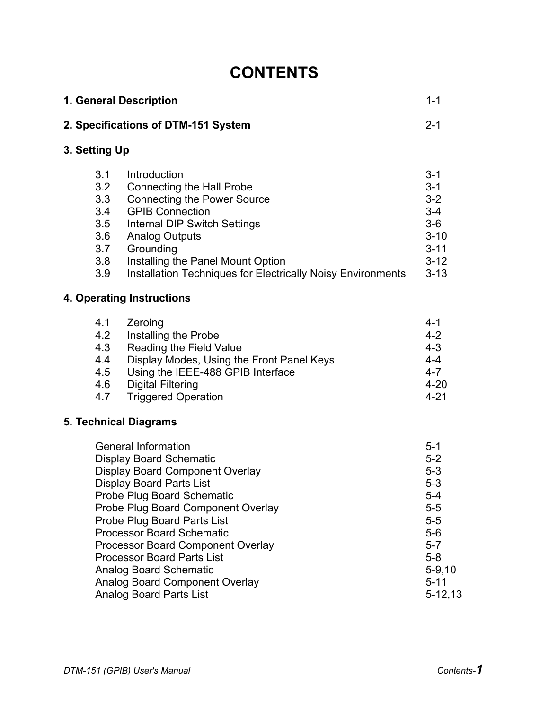# **CONTENTS**

| 1. General Description<br>2. Specifications of DTM-151 System |                                                                                                                                                                                                                                                                                                                                                                                                                                                                                      | $1 - 1$                                                                                                                                |
|---------------------------------------------------------------|--------------------------------------------------------------------------------------------------------------------------------------------------------------------------------------------------------------------------------------------------------------------------------------------------------------------------------------------------------------------------------------------------------------------------------------------------------------------------------------|----------------------------------------------------------------------------------------------------------------------------------------|
|                                                               |                                                                                                                                                                                                                                                                                                                                                                                                                                                                                      | $2 - 1$                                                                                                                                |
| 3. Setting Up                                                 |                                                                                                                                                                                                                                                                                                                                                                                                                                                                                      |                                                                                                                                        |
| 3.1<br>3.2<br>3.3<br>3.4<br>3.5<br>3.6<br>3.7<br>3.8<br>3.9   | Introduction<br><b>Connecting the Hall Probe</b><br><b>Connecting the Power Source</b><br><b>GPIB Connection</b><br>Internal DIP Switch Settings<br><b>Analog Outputs</b><br>Grounding<br>Installing the Panel Mount Option<br>Installation Techniques for Electrically Noisy Environments                                                                                                                                                                                           | $3 - 1$<br>$3 - 1$<br>$3 - 2$<br>$3 - 4$<br>$3-6$<br>$3 - 10$<br>$3 - 11$<br>$3 - 12$<br>$3 - 13$                                      |
|                                                               | <b>4. Operating Instructions</b>                                                                                                                                                                                                                                                                                                                                                                                                                                                     |                                                                                                                                        |
| 4.1<br>4.2<br>4.3<br>4.4<br>4.5<br>4.6<br>4.7                 | Zeroing<br>Installing the Probe<br>Reading the Field Value<br>Display Modes, Using the Front Panel Keys<br>Using the IEEE-488 GPIB Interface<br><b>Digital Filtering</b><br><b>Triggered Operation</b>                                                                                                                                                                                                                                                                               | $4 - 1$<br>$4 - 2$<br>$4 - 3$<br>$4 - 4$<br>$4 - 7$<br>$4 - 20$<br>$4 - 21$                                                            |
|                                                               | <b>5. Technical Diagrams</b>                                                                                                                                                                                                                                                                                                                                                                                                                                                         |                                                                                                                                        |
|                                                               | <b>General Information</b><br><b>Display Board Schematic</b><br><b>Display Board Component Overlay</b><br><b>Display Board Parts List</b><br><b>Probe Plug Board Schematic</b><br>Probe Plug Board Component Overlay<br>Probe Plug Board Parts List<br><b>Processor Board Schematic</b><br><b>Processor Board Component Overlay</b><br><b>Processor Board Parts List</b><br><b>Analog Board Schematic</b><br><b>Analog Board Component Overlay</b><br><b>Analog Board Parts List</b> | $5 - 1$<br>$5-2$<br>$5-3$<br>$5-3$<br>$5 - 4$<br>$5 - 5$<br>$5-5$<br>$5-6$<br>$5 - 7$<br>$5-8$<br>$5-9,10$<br>$5 - 11$<br>$5 - 12, 13$ |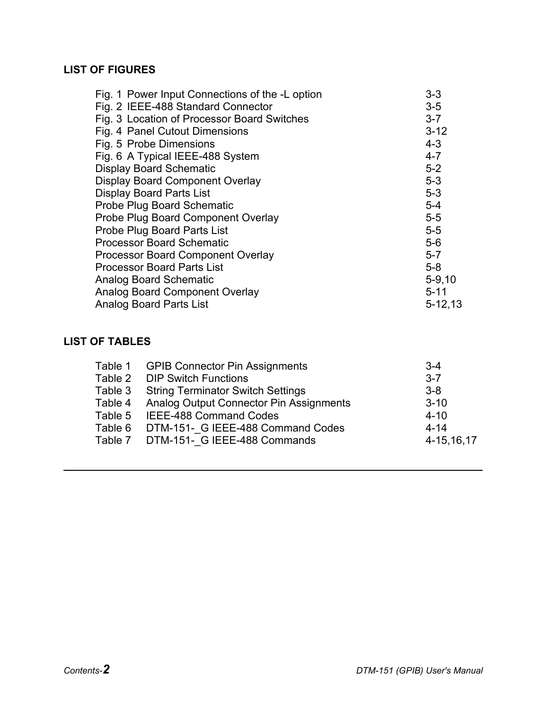## **LIST OF FIGURES**

| Fig. 1 Power Input Connections of the -L option | $3 - 3$      |
|-------------------------------------------------|--------------|
| Fig. 2 IEEE-488 Standard Connector              | $3-5$        |
| Fig. 3 Location of Processor Board Switches     | $3 - 7$      |
| Fig. 4 Panel Cutout Dimensions                  | $3 - 12$     |
| Fig. 5 Probe Dimensions                         | $4 - 3$      |
| Fig. 6 A Typical IEEE-488 System                | $4 - 7$      |
| <b>Display Board Schematic</b>                  | $5-2$        |
| <b>Display Board Component Overlay</b>          | $5-3$        |
| <b>Display Board Parts List</b>                 | $5-3$        |
| Probe Plug Board Schematic                      | $5-4$        |
| Probe Plug Board Component Overlay              | $5-5$        |
| <b>Probe Plug Board Parts List</b>              | $5-5$        |
| <b>Processor Board Schematic</b>                | $5-6$        |
| <b>Processor Board Component Overlay</b>        | $5 - 7$      |
| <b>Processor Board Parts List</b>               | $5 - 8$      |
| <b>Analog Board Schematic</b>                   | $5 - 9,10$   |
| <b>Analog Board Component Overlay</b>           | $5 - 11$     |
| <b>Analog Board Parts List</b>                  | $5 - 12, 13$ |

## **LIST OF TABLES**

| Table 1 GPIB Connector Pin Assignments          | $3 - 4$    |
|-------------------------------------------------|------------|
| Table 2 DIP Switch Functions                    | $3 - 7$    |
| Table 3 String Terminator Switch Settings       | $3-8$      |
| Table 4 Analog Output Connector Pin Assignments | $3 - 10$   |
|                                                 | $4 - 10$   |
| Table 6 DTM-151- G IEEE-488 Command Codes       | $4 - 14$   |
| Table 7 DTM-151- G IEEE-488 Commands            | 4-15,16,17 |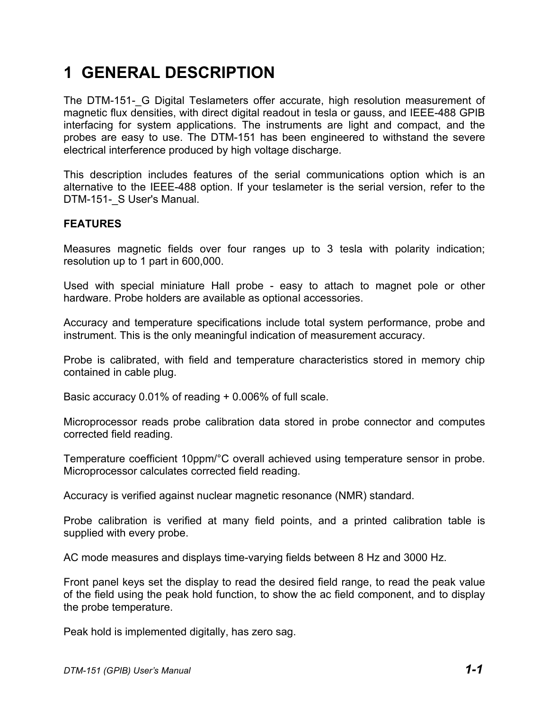# **1 GENERAL DESCRIPTION**

The DTM-151- G Digital Teslameters offer accurate, high resolution measurement of magnetic flux densities, with direct digital readout in tesla or gauss, and IEEE-488 GPIB interfacing for system applications. The instruments are light and compact, and the probes are easy to use. The DTM-151 has been engineered to withstand the severe electrical interference produced by high voltage discharge.

This description includes features of the serial communications option which is an alternative to the IEEE-488 option. If your teslameter is the serial version, refer to the DTM-151- S User's Manual.

#### **FEATURES**

Measures magnetic fields over four ranges up to 3 tesla with polarity indication; resolution up to 1 part in 600,000.

Used with special miniature Hall probe - easy to attach to magnet pole or other hardware. Probe holders are available as optional accessories.

Accuracy and temperature specifications include total system performance, probe and instrument. This is the only meaningful indication of measurement accuracy.

Probe is calibrated, with field and temperature characteristics stored in memory chip contained in cable plug.

Basic accuracy 0.01% of reading + 0.006% of full scale.

Microprocessor reads probe calibration data stored in probe connector and computes corrected field reading.

Temperature coefficient 10ppm/°C overall achieved using temperature sensor in probe. Microprocessor calculates corrected field reading.

Accuracy is verified against nuclear magnetic resonance (NMR) standard.

Probe calibration is verified at many field points, and a printed calibration table is supplied with every probe.

AC mode measures and displays time-varying fields between 8 Hz and 3000 Hz.

Front panel keys set the display to read the desired field range, to read the peak value of the field using the peak hold function, to show the ac field component, and to display the probe temperature.

Peak hold is implemented digitally, has zero sag.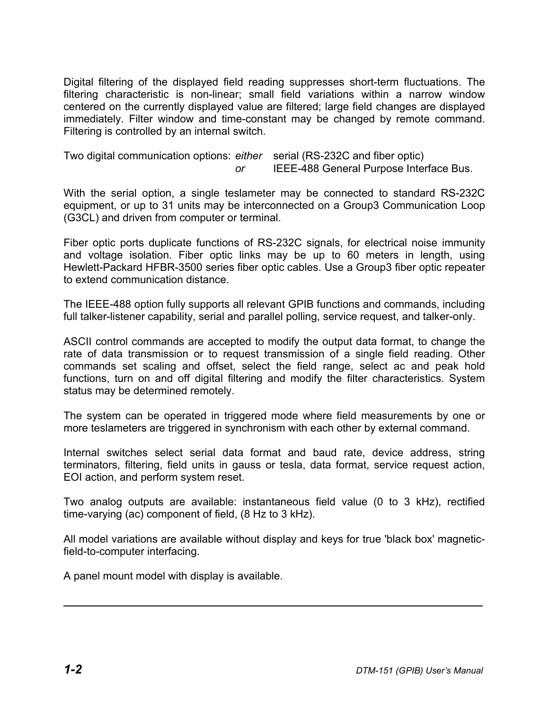Digital filtering of the displayed field reading suppresses short-term fluctuations. The filtering characteristic is non-linear; small field variations within a narrow window centered on the currently displayed value are filtered; large field changes are displayed immediately. Filter window and time-constant may be changed by remote command. Filtering is controlled by an internal switch.

Two digital communication options: *either* serial (RS-232C and fiber optic) *or* IEEE-488 General Purpose Interface Bus.

With the serial option, a single teslameter may be connected to standard RS-232C equipment, or up to 31 units may be interconnected on a Group3 Communication Loop (G3CL) and driven from computer or terminal.

Fiber optic ports duplicate functions of RS-232C signals, for electrical noise immunity and voltage isolation. Fiber optic links may be up to 60 meters in length, using Hewlett-Packard HFBR-3500 series fiber optic cables. Use a Group3 fiber optic repeater to extend communication distance.

The IEEE-488 option fully supports all relevant GPIB functions and commands, including full talker-listener capability, serial and parallel polling, service request, and talker-only.

ASCII control commands are accepted to modify the output data format, to change the rate of data transmission or to request transmission of a single field reading. Other commands set scaling and offset, select the field range, select ac and peak hold functions, turn on and off digital filtering and modify the filter characteristics. System status may be determined remotely.

The system can be operated in triggered mode where field measurements by one or more teslameters are triggered in synchronism with each other by external command.

Internal switches select serial data format and baud rate, device address, string terminators, filtering, field units in gauss or tesla, data format, service request action, EOI action, and perform system reset.

Two analog outputs are available: instantaneous field value (0 to 3 kHz), rectified time-varying (ac) component of field, (8 Hz to 3 kHz).

All model variations are available without display and keys for true 'black box' magneticfield-to-computer interfacing.

A panel mount model with display is available.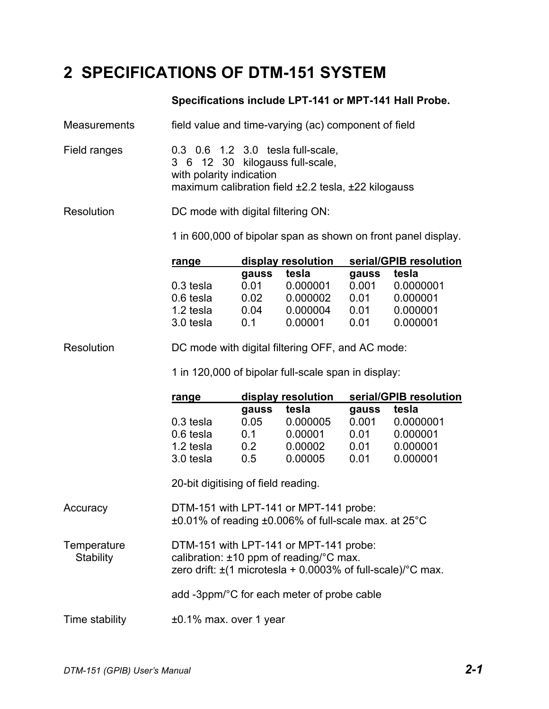# **2 SPECIFICATIONS OF DTM-151 SYSTEM**

### **Specifications include LPT-141 or MPT-141 Hall Probe.**

| field value and time-varying (ac) component of field<br>Measurements |  |
|----------------------------------------------------------------------|--|
|----------------------------------------------------------------------|--|

Field ranges 0.3 0.6 1.2 3.0 tesla full-scale, 3 6 12 30 kilogauss full-scale, with polarity indication maximum calibration field ±2.2 tesla, ±22 kilogauss

Resolution DC mode with digital filtering ON:

1 in 600,000 of bipolar span as shown on front panel display.

| range       |       | display resolution |       | serial/GPIB resolution |
|-------------|-------|--------------------|-------|------------------------|
|             | gauss | tesla              | gauss | tesla                  |
| $0.3$ tesla | 0.01  | 0.000001           | 0.001 | 0.0000001              |
| 0.6 tesla   | 0.02  | 0.000002           | 0.01  | 0.000001               |
| 1.2 tesla   | 0.04  | 0.000004           | 0.01  | 0.000001               |
| 3.0 tesla   | 0 1   | 0.00001            | 0.01  | 0.000001               |

#### Resolution DC mode with digital filtering OFF, and AC mode:

1 in 120,000 of bipolar full-scale span in display:

| range     |       | display resolution |       | serial/GPIB resolution |
|-----------|-------|--------------------|-------|------------------------|
|           | gauss | tesla              | gauss | tesla                  |
| 0.3 tesla | 0.05  | 0.000005           | 0.001 | 0.0000001              |
| 0.6 tesla | 0 1   | 0.00001            | 0 01  | 0.000001               |
| 1.2 tesla | 02    | 0.00002            | 0.01  | 0.000001               |
| 3.0 tesla | 05    | 0.00005            | ი ი1  | 0.000001               |

20-bit digitising of field reading.

Accuracy DTM-151 with LPT-141 or MPT-141 probe: ±0.01% of reading ±0.006% of full-scale max. at 25°C

| Temperature | DTM-151 with LPT-141 or MPT-141 probe:                                     |
|-------------|----------------------------------------------------------------------------|
| Stability   | calibration: $\pm 10$ ppm of reading/°C max.                               |
|             | zero drift: $\pm$ (1 microtesla + 0.0003% of full-scale)/ $\degree$ C max. |

add -3ppm/°C for each meter of probe cable

Time stability ±0.1% max. over 1 year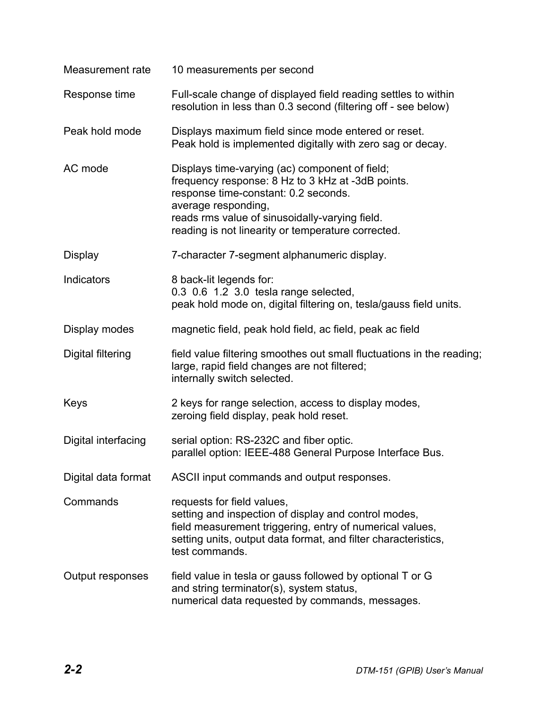| Measurement rate         | 10 measurements per second                                                                                                                                                                                                                                                 |
|--------------------------|----------------------------------------------------------------------------------------------------------------------------------------------------------------------------------------------------------------------------------------------------------------------------|
| Response time            | Full-scale change of displayed field reading settles to within<br>resolution in less than 0.3 second (filtering off - see below)                                                                                                                                           |
| Peak hold mode           | Displays maximum field since mode entered or reset.<br>Peak hold is implemented digitally with zero sag or decay.                                                                                                                                                          |
| AC mode                  | Displays time-varying (ac) component of field;<br>frequency response: 8 Hz to 3 kHz at -3dB points.<br>response time-constant: 0.2 seconds.<br>average responding,<br>reads rms value of sinusoidally-varying field.<br>reading is not linearity or temperature corrected. |
| <b>Display</b>           | 7-character 7-segment alphanumeric display.                                                                                                                                                                                                                                |
| <b>Indicators</b>        | 8 back-lit legends for:<br>0.3 0.6 1.2 3.0 tesla range selected,<br>peak hold mode on, digital filtering on, tesla/gauss field units.                                                                                                                                      |
| Display modes            | magnetic field, peak hold field, ac field, peak ac field                                                                                                                                                                                                                   |
| <b>Digital filtering</b> | field value filtering smoothes out small fluctuations in the reading;<br>large, rapid field changes are not filtered;<br>internally switch selected.                                                                                                                       |
| Keys                     | 2 keys for range selection, access to display modes,<br>zeroing field display, peak hold reset.                                                                                                                                                                            |
| Digital interfacing      | serial option: RS-232C and fiber optic.<br>parallel option: IEEE-488 General Purpose Interface Bus.                                                                                                                                                                        |
| Digital data format      | ASCII input commands and output responses.                                                                                                                                                                                                                                 |
| Commands                 | requests for field values,<br>setting and inspection of display and control modes,<br>field measurement triggering, entry of numerical values,<br>setting units, output data format, and filter characteristics,<br>test commands.                                         |
| Output responses         | field value in tesla or gauss followed by optional T or G<br>and string terminator(s), system status,<br>numerical data requested by commands, messages.                                                                                                                   |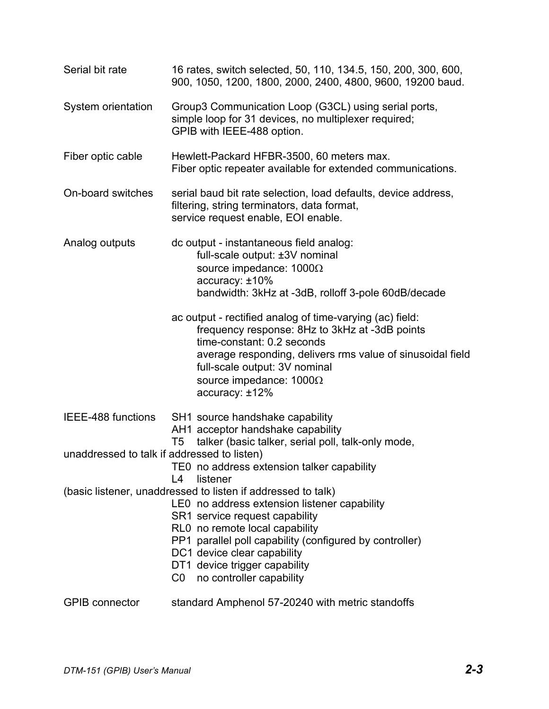| Serial bit rate                             | 16 rates, switch selected, 50, 110, 134.5, 150, 200, 300, 600,<br>900, 1050, 1200, 1800, 2000, 2400, 4800, 9600, 19200 baud.                                                                                                                                                                                                                               |
|---------------------------------------------|------------------------------------------------------------------------------------------------------------------------------------------------------------------------------------------------------------------------------------------------------------------------------------------------------------------------------------------------------------|
| System orientation                          | Group3 Communication Loop (G3CL) using serial ports,<br>simple loop for 31 devices, no multiplexer required;<br>GPIB with IEEE-488 option.                                                                                                                                                                                                                 |
| Fiber optic cable                           | Hewlett-Packard HFBR-3500, 60 meters max.<br>Fiber optic repeater available for extended communications.                                                                                                                                                                                                                                                   |
| On-board switches                           | serial baud bit rate selection, load defaults, device address,<br>filtering, string terminators, data format,<br>service request enable, EOI enable.                                                                                                                                                                                                       |
| Analog outputs                              | dc output - instantaneous field analog:<br>full-scale output: ±3V nominal<br>source impedance: $1000\Omega$<br>accuracy: ±10%<br>bandwidth: 3kHz at -3dB, rolloff 3-pole 60dB/decade                                                                                                                                                                       |
|                                             | ac output - rectified analog of time-varying (ac) field:<br>frequency response: 8Hz to 3kHz at -3dB points<br>time-constant: 0.2 seconds<br>average responding, delivers rms value of sinusoidal field<br>full-scale output: 3V nominal<br>source impedance: $1000\Omega$<br>accuracy: ±12%                                                                |
| IEEE-488 functions                          | SH1 source handshake capability<br>AH1 acceptor handshake capability<br>talker (basic talker, serial poll, talk-only mode,<br>T5                                                                                                                                                                                                                           |
| unaddressed to talk if addressed to listen) |                                                                                                                                                                                                                                                                                                                                                            |
|                                             | TE0 no address extension talker capability<br>listener<br>L4                                                                                                                                                                                                                                                                                               |
|                                             | (basic listener, unaddressed to listen if addressed to talk)<br>LEO no address extension listener capability<br>SR1 service request capability<br>RL0 no remote local capability<br>PP1 parallel poll capability (configured by controller)<br>DC1 device clear capability<br>DT1 device trigger capability<br>CO <sub>2</sub><br>no controller capability |
| <b>GPIB</b> connector                       | standard Amphenol 57-20240 with metric standoffs                                                                                                                                                                                                                                                                                                           |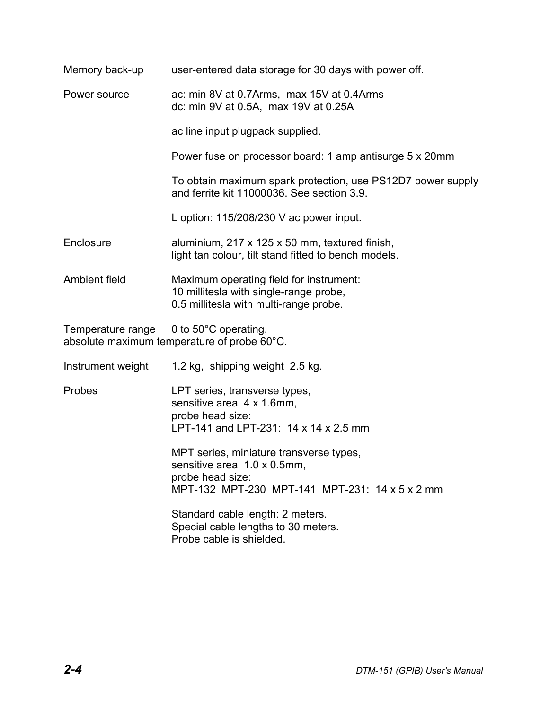| Memory back-up    | user-entered data storage for 30 days with power off.                                                                                        |
|-------------------|----------------------------------------------------------------------------------------------------------------------------------------------|
| Power source      | ac: min 8V at 0.7Arms, max 15V at 0.4Arms<br>dc: min 9V at 0.5A, max 19V at 0.25A                                                            |
|                   | ac line input plugpack supplied.                                                                                                             |
|                   | Power fuse on processor board: 1 amp antisurge 5 x 20mm                                                                                      |
|                   | To obtain maximum spark protection, use PS12D7 power supply<br>and ferrite kit 11000036. See section 3.9.                                    |
|                   | L option: 115/208/230 V ac power input.                                                                                                      |
| Enclosure         | aluminium, 217 x 125 x 50 mm, textured finish,<br>light tan colour, tilt stand fitted to bench models.                                       |
| Ambient field     | Maximum operating field for instrument:<br>10 millitesla with single-range probe,<br>0.5 millitesla with multi-range probe.                  |
| Temperature range | 0 to 50°C operating,<br>absolute maximum temperature of probe 60°C.                                                                          |
| Instrument weight | 1.2 kg, shipping weight 2.5 kg.                                                                                                              |
| Probes            | LPT series, transverse types,<br>sensitive area 4 x 1.6mm,<br>probe head size:<br>LPT-141 and LPT-231: 14 x 14 x 2.5 mm                      |
|                   | MPT series, miniature transverse types,<br>sensitive area 1.0 x 0.5mm,<br>probe head size:<br>MPT-132 MPT-230 MPT-141 MPT-231: 14 x 5 x 2 mm |
|                   | Standard cable length: 2 meters.<br>Special cable lengths to 30 meters.<br>Probe cable is shielded.                                          |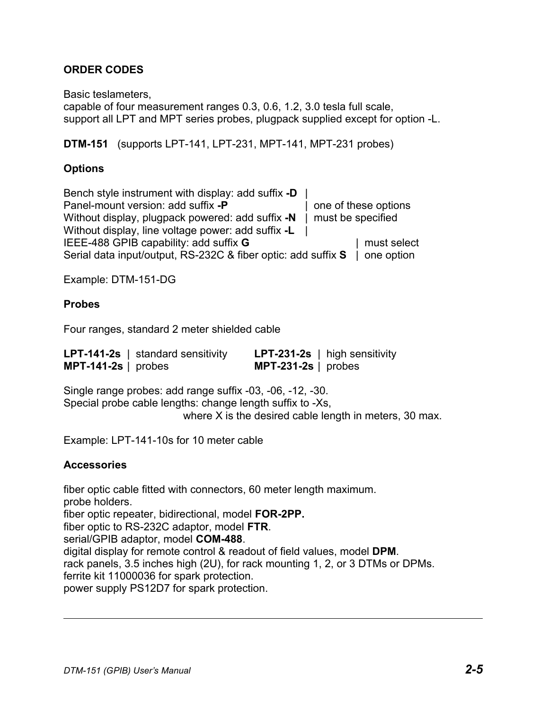## **ORDER CODES**

Basic teslameters,

capable of four measurement ranges 0.3, 0.6, 1.2, 3.0 tesla full scale, support all LPT and MPT series probes, plugpack supplied except for option -L.

**DTM-151** (supports LPT-141, LPT-231, MPT-141, MPT-231 probes)

#### **Options**

Bench style instrument with display: add suffix **-D** | Panel-mount version: add suffix **-P** | one of these options Without display, plugpack powered: add suffix **-N** | must be specified Without display, line voltage power: add suffix **-L** | IEEE-488 GPIB capability: add suffix **G** | must select Serial data input/output, RS-232C & fiber optic: add suffix **S** | one option

Example: DTM-151-DG

#### **Probes**

Four ranges, standard 2 meter shielded cable

|                       | <b>LPT-141-2s</b>   standard sensitivity |                       | <b>LPT-231-2s</b> $\vert$ high sensitivity |
|-----------------------|------------------------------------------|-----------------------|--------------------------------------------|
| $MPT-141-2s$   probes |                                          | $MPT-231-2s$   probes |                                            |

Single range probes: add range suffix -03, -06, -12, -30. Special probe cable lengths: change length suffix to -Xs, where X is the desired cable length in meters, 30 max.

Example: LPT-141-10s for 10 meter cable

#### **Accessories**

fiber optic cable fitted with connectors, 60 meter length maximum. probe holders. fiber optic repeater, bidirectional, model **FOR-2PP.** fiber optic to RS-232C adaptor, model **FTR**. serial/GPIB adaptor, model **COM-488**. digital display for remote control & readout of field values, model **DPM**. rack panels, 3.5 inches high (2U), for rack mounting 1, 2, or 3 DTMs or DPMs. ferrite kit 11000036 for spark protection. power supply PS12D7 for spark protection.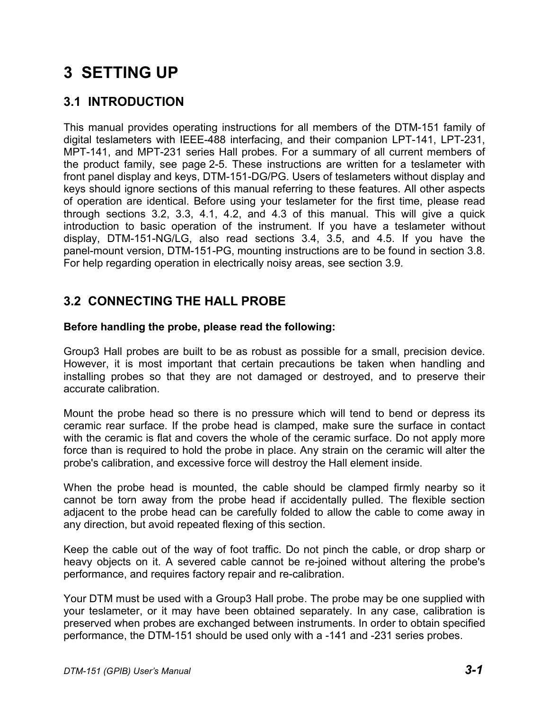# **3 SETTING UP**

# **3.1 INTRODUCTION**

This manual provides operating instructions for all members of the DTM-151 family of digital teslameters with IEEE-488 interfacing, and their companion LPT-141, LPT-231, MPT-141, and MPT-231 series Hall probes. For a summary of all current members of the product family, see page 2-5. These instructions are written for a teslameter with front panel display and keys, DTM-151-DG/PG. Users of teslameters without display and keys should ignore sections of this manual referring to these features. All other aspects of operation are identical. Before using your teslameter for the first time, please read through sections 3.2, 3.3, 4.1, 4.2, and 4.3 of this manual. This will give a quick introduction to basic operation of the instrument. If you have a teslameter without display, DTM-151-NG/LG, also read sections 3.4, 3.5, and 4.5. If you have the panel-mount version, DTM-151-PG, mounting instructions are to be found in section 3.8. For help regarding operation in electrically noisy areas, see section 3.9.

## **3.2 CONNECTING THE HALL PROBE**

#### **Before handling the probe, please read the following:**

Group3 Hall probes are built to be as robust as possible for a small, precision device. However, it is most important that certain precautions be taken when handling and installing probes so that they are not damaged or destroyed, and to preserve their accurate calibration.

Mount the probe head so there is no pressure which will tend to bend or depress its ceramic rear surface. If the probe head is clamped, make sure the surface in contact with the ceramic is flat and covers the whole of the ceramic surface. Do not apply more force than is required to hold the probe in place. Any strain on the ceramic will alter the probe's calibration, and excessive force will destroy the Hall element inside.

When the probe head is mounted, the cable should be clamped firmly nearby so it cannot be torn away from the probe head if accidentally pulled. The flexible section adjacent to the probe head can be carefully folded to allow the cable to come away in any direction, but avoid repeated flexing of this section.

Keep the cable out of the way of foot traffic. Do not pinch the cable, or drop sharp or heavy objects on it. A severed cable cannot be re-joined without altering the probe's performance, and requires factory repair and re-calibration.

Your DTM must be used with a Group3 Hall probe. The probe may be one supplied with your teslameter, or it may have been obtained separately. In any case, calibration is preserved when probes are exchanged between instruments. In order to obtain specified performance, the DTM-151 should be used only with a -141 and -231 series probes.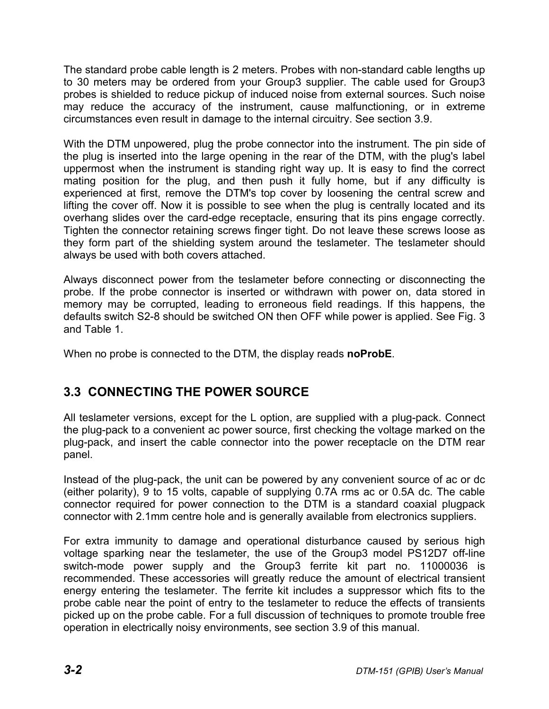The standard probe cable length is 2 meters. Probes with non-standard cable lengths up to 30 meters may be ordered from your Group3 supplier. The cable used for Group3 probes is shielded to reduce pickup of induced noise from external sources. Such noise may reduce the accuracy of the instrument, cause malfunctioning, or in extreme circumstances even result in damage to the internal circuitry. See section 3.9.

With the DTM unpowered, plug the probe connector into the instrument. The pin side of the plug is inserted into the large opening in the rear of the DTM, with the plug's label uppermost when the instrument is standing right way up. It is easy to find the correct mating position for the plug, and then push it fully home, but if any difficulty is experienced at first, remove the DTM's top cover by loosening the central screw and lifting the cover off. Now it is possible to see when the plug is centrally located and its overhang slides over the card-edge receptacle, ensuring that its pins engage correctly. Tighten the connector retaining screws finger tight. Do not leave these screws loose as they form part of the shielding system around the teslameter. The teslameter should always be used with both covers attached.

Always disconnect power from the teslameter before connecting or disconnecting the probe. If the probe connector is inserted or withdrawn with power on, data stored in memory may be corrupted, leading to erroneous field readings. If this happens, the defaults switch S2-8 should be switched ON then OFF while power is applied. See Fig. 3 and Table 1.

When no probe is connected to the DTM, the display reads **noProbE**.

# **3.3 CONNECTING THE POWER SOURCE**

All teslameter versions, except for the L option, are supplied with a plug-pack. Connect the plug-pack to a convenient ac power source, first checking the voltage marked on the plug-pack, and insert the cable connector into the power receptacle on the DTM rear panel.

Instead of the plug-pack, the unit can be powered by any convenient source of ac or dc (either polarity), 9 to 15 volts, capable of supplying 0.7A rms ac or 0.5A dc. The cable connector required for power connection to the DTM is a standard coaxial plugpack connector with 2.1mm centre hole and is generally available from electronics suppliers.

For extra immunity to damage and operational disturbance caused by serious high voltage sparking near the teslameter, the use of the Group3 model PS12D7 off-line switch-mode power supply and the Group3 ferrite kit part no. 11000036 is recommended. These accessories will greatly reduce the amount of electrical transient energy entering the teslameter. The ferrite kit includes a suppressor which fits to the probe cable near the point of entry to the teslameter to reduce the effects of transients picked up on the probe cable. For a full discussion of techniques to promote trouble free operation in electrically noisy environments, see section 3.9 of this manual.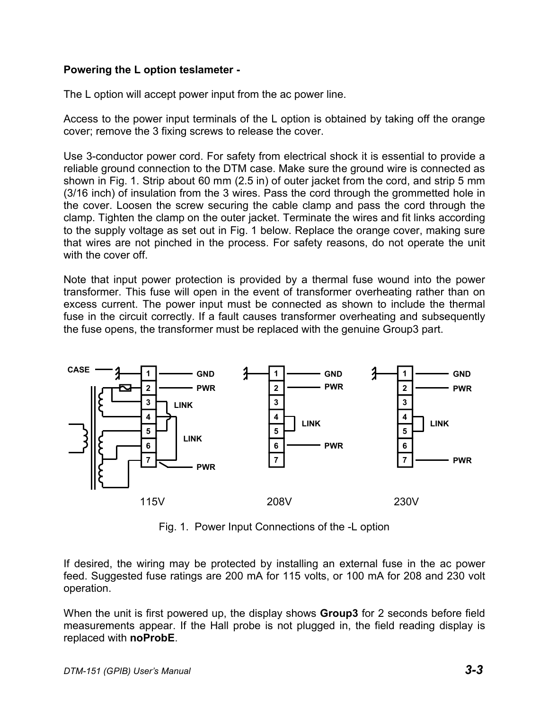#### **Powering the L option teslameter -**

The L option will accept power input from the ac power line.

Access to the power input terminals of the L option is obtained by taking off the orange cover; remove the 3 fixing screws to release the cover.

Use 3-conductor power cord. For safety from electrical shock it is essential to provide a reliable ground connection to the DTM case. Make sure the ground wire is connected as shown in Fig. 1. Strip about 60 mm (2.5 in) of outer jacket from the cord, and strip 5 mm (3/16 inch) of insulation from the 3 wires. Pass the cord through the grommetted hole in the cover. Loosen the screw securing the cable clamp and pass the cord through the clamp. Tighten the clamp on the outer jacket. Terminate the wires and fit links according to the supply voltage as set out in Fig. 1 below. Replace the orange cover, making sure that wires are not pinched in the process. For safety reasons, do not operate the unit with the cover off.

Note that input power protection is provided by a thermal fuse wound into the power transformer. This fuse will open in the event of transformer overheating rather than on excess current. The power input must be connected as shown to include the thermal fuse in the circuit correctly. If a fault causes transformer overheating and subsequently the fuse opens, the transformer must be replaced with the genuine Group3 part.



Fig. 1. Power Input Connections of the -L option

If desired, the wiring may be protected by installing an external fuse in the ac power feed. Suggested fuse ratings are 200 mA for 115 volts, or 100 mA for 208 and 230 volt operation.

When the unit is first powered up, the display shows **Group3** for 2 seconds before field measurements appear. If the Hall probe is not plugged in, the field reading display is replaced with **noProbE**.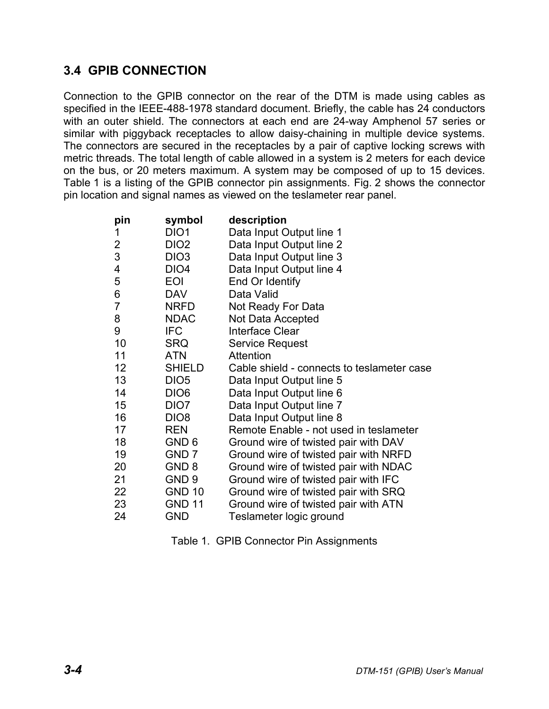# **3.4 GPIB CONNECTION**

Connection to the GPIB connector on the rear of the DTM is made using cables as specified in the IEEE-488-1978 standard document. Briefly, the cable has 24 conductors with an outer shield. The connectors at each end are 24-way Amphenol 57 series or similar with piggyback receptacles to allow daisy-chaining in multiple device systems. The connectors are secured in the receptacles by a pair of captive locking screws with metric threads. The total length of cable allowed in a system is 2 meters for each device on the bus, or 20 meters maximum. A system may be composed of up to 15 devices. Table 1 is a listing of the GPIB connector pin assignments. Fig. 2 shows the connector pin location and signal names as viewed on the teslameter rear panel.

| pin            | symbol           | description                                |
|----------------|------------------|--------------------------------------------|
| 1              | DIO <sub>1</sub> | Data Input Output line 1                   |
| $\overline{2}$ | DIO <sub>2</sub> | Data Input Output line 2                   |
| 3              | DIO <sub>3</sub> | Data Input Output line 3                   |
| 4              | DIO <sub>4</sub> | Data Input Output line 4                   |
| 5              | <b>EOI</b>       | End Or Identify                            |
| 6              | <b>DAV</b>       | Data Valid                                 |
| $\overline{7}$ | <b>NRFD</b>      | Not Ready For Data                         |
| 8              | <b>NDAC</b>      | Not Data Accepted                          |
| 9              | <b>IFC</b>       | <b>Interface Clear</b>                     |
| 10             | <b>SRQ</b>       | Service Request                            |
| 11             | <b>ATN</b>       | <b>Attention</b>                           |
| 12             | <b>SHIELD</b>    | Cable shield - connects to teslameter case |
| 13             | DIO <sub>5</sub> | Data Input Output line 5                   |
| 14             | DIO <sub>6</sub> | Data Input Output line 6                   |
| 15             | DIO <sub>7</sub> | Data Input Output line 7                   |
| 16             | DIO <sub>8</sub> | Data Input Output line 8                   |
| 17             | <b>REN</b>       | Remote Enable - not used in teslameter     |
| 18             | GND 6            | Ground wire of twisted pair with DAV       |
| 19             | GND <sub>7</sub> | Ground wire of twisted pair with NRFD      |
| 20             | GND <sub>8</sub> | Ground wire of twisted pair with NDAC      |
| 21             | GND <sub>9</sub> | Ground wire of twisted pair with IFC       |
| 22             | <b>GND 10</b>    | Ground wire of twisted pair with SRQ       |
| 23             | <b>GND 11</b>    | Ground wire of twisted pair with ATN       |
| 24             | GND              | Teslameter logic ground                    |

Table 1. GPIB Connector Pin Assignments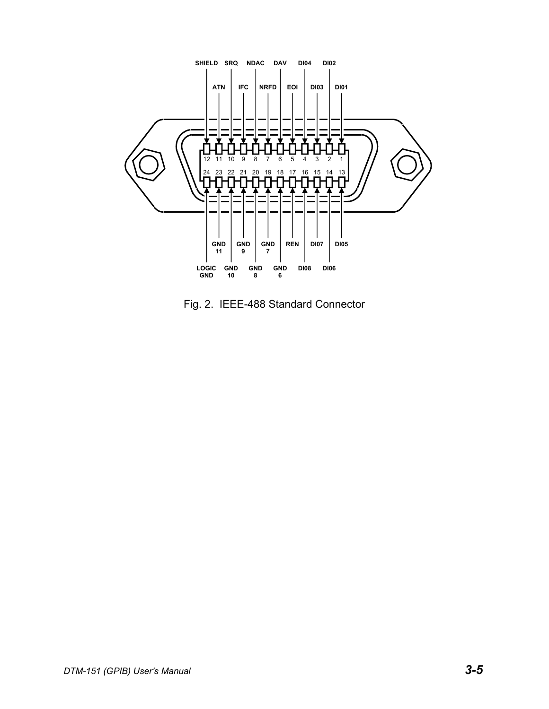

Fig. 2. IEEE-488 Standard Connector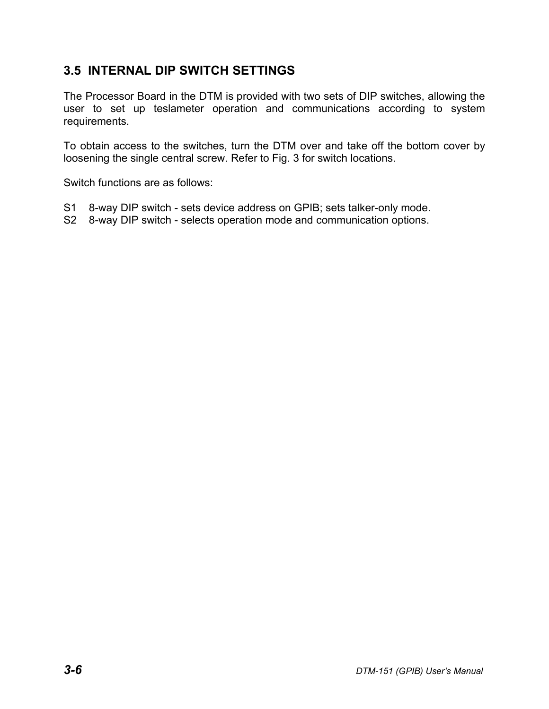# **3.5 INTERNAL DIP SWITCH SETTINGS**

The Processor Board in the DTM is provided with two sets of DIP switches, allowing the user to set up teslameter operation and communications according to system requirements.

To obtain access to the switches, turn the DTM over and take off the bottom cover by loosening the single central screw. Refer to Fig. 3 for switch locations.

Switch functions are as follows:

- S1 8-way DIP switch sets device address on GPIB; sets talker-only mode.
- S2 8-way DIP switch selects operation mode and communication options.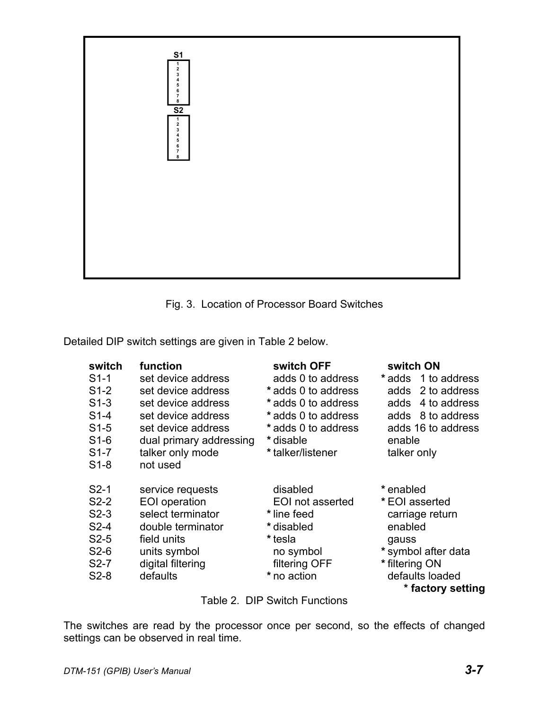



Detailed DIP switch settings are given in Table 2 below.

| switch<br>$S1-1$<br>$S1-2$<br>$S1-3$<br>$S1-4$<br>$S1-5$<br>$S1-6$<br>$S1-7$<br>$S1-8$ | function<br>set device address<br>set device address<br>set device address<br>set device address<br>set device address<br>dual primary addressing<br>talker only mode<br>not used | switch OFF<br>adds 0 to address<br>*adds 0 to address<br>*adds 0 to address<br>*adds 0 to address<br>*adds 0 to address<br>* disable<br>* talker/listener | switch ON<br>*adds 1 to address<br>2 to address<br>adds<br>4 to address<br>adds<br>adds 8 to address<br>adds 16 to address<br>enable<br>talker only |
|----------------------------------------------------------------------------------------|-----------------------------------------------------------------------------------------------------------------------------------------------------------------------------------|-----------------------------------------------------------------------------------------------------------------------------------------------------------|-----------------------------------------------------------------------------------------------------------------------------------------------------|
| $S2-1$<br>$S2-2$<br>$S2-3$<br>$S2-4$<br>$S2-5$<br>$S2-6$<br>$S2-7$<br>$S2-8$           | service requests<br>EOI operation<br>select terminator<br>double terminator<br>field units<br>units symbol<br>digital filtering<br>defaults                                       | disabled<br>EOI not asserted<br>* line feed<br>* disabled<br>* tesla<br>no symbol<br>filtering OFF<br>* no action                                         | * enabled<br>*EOI asserted<br>carriage return<br>enabled<br>gauss<br>* symbol after data<br>* filtering ON<br>defaults loaded<br>* factory setting  |

Table 2. DIP Switch Functions

The switches are read by the processor once per second, so the effects of changed settings can be observed in real time.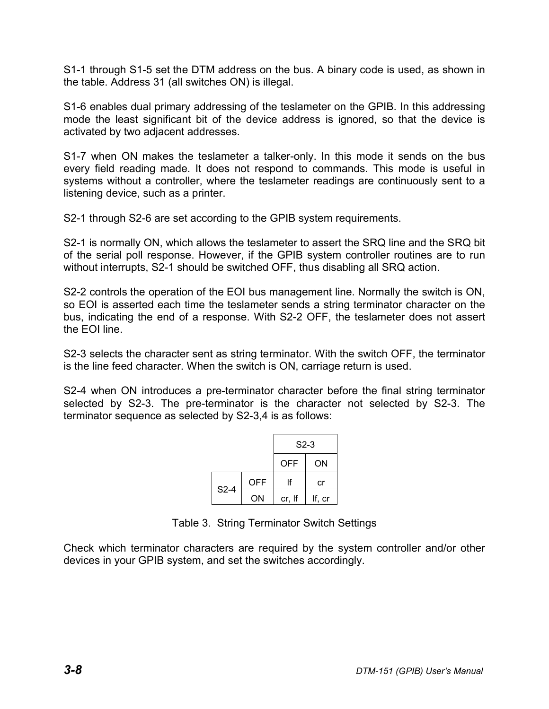S1-1 through S1-5 set the DTM address on the bus. A binary code is used, as shown in the table. Address 31 (all switches ON) is illegal.

S1-6 enables dual primary addressing of the teslameter on the GPIB. In this addressing mode the least significant bit of the device address is ignored, so that the device is activated by two adjacent addresses.

S1-7 when ON makes the teslameter a talker-only. In this mode it sends on the bus every field reading made. It does not respond to commands. This mode is useful in systems without a controller, where the teslameter readings are continuously sent to a listening device, such as a printer.

S2-1 through S2-6 are set according to the GPIB system requirements.

S2-1 is normally ON, which allows the teslameter to assert the SRQ line and the SRQ bit of the serial poll response. However, if the GPIB system controller routines are to run without interrupts, S2-1 should be switched OFF, thus disabling all SRQ action.

S2-2 controls the operation of the EOI bus management line. Normally the switch is ON, so EOI is asserted each time the teslameter sends a string terminator character on the bus, indicating the end of a response. With S2-2 OFF, the teslameter does not assert the EOI line.

S2-3 selects the character sent as string terminator. With the switch OFF, the terminator is the line feed character. When the switch is ON, carriage return is used.

S2-4 when ON introduces a pre-terminator character before the final string terminator selected by S2-3. The pre-terminator is the character not selected by S2-3. The terminator sequence as selected by S2-3,4 is as follows:

|        |            | $S2-3$     |        |
|--------|------------|------------|--------|
|        |            | <b>OFF</b> | ON     |
|        | <b>OFF</b> | lf         | cr     |
| $S2-4$ | ΟN         | cr, If     | If, cr |

Table 3. String Terminator Switch Settings

Check which terminator characters are required by the system controller and/or other devices in your GPIB system, and set the switches accordingly.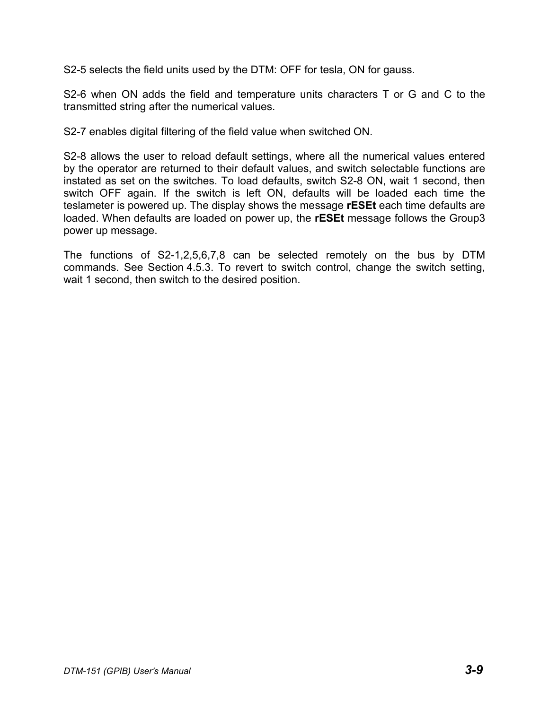S2-5 selects the field units used by the DTM: OFF for tesla, ON for gauss.

S2-6 when ON adds the field and temperature units characters T or G and C to the transmitted string after the numerical values.

S2-7 enables digital filtering of the field value when switched ON.

S2-8 allows the user to reload default settings, where all the numerical values entered by the operator are returned to their default values, and switch selectable functions are instated as set on the switches. To load defaults, switch S2-8 ON, wait 1 second, then switch OFF again. If the switch is left ON, defaults will be loaded each time the teslameter is powered up. The display shows the message **rESEt** each time defaults are loaded. When defaults are loaded on power up, the **rESEt** message follows the Group3 power up message.

The functions of S2-1,2,5,6,7,8 can be selected remotely on the bus by DTM commands. See Section 4.5.3. To revert to switch control, change the switch setting, wait 1 second, then switch to the desired position.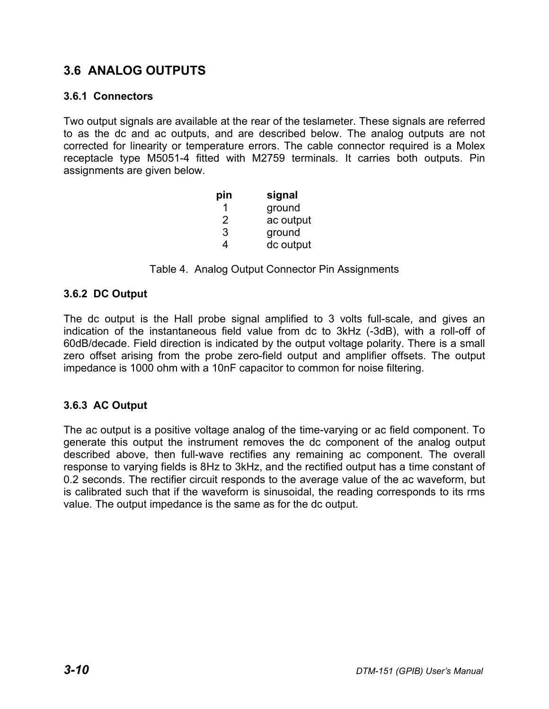# **3.6 ANALOG OUTPUTS**

#### **3.6.1 Connectors**

Two output signals are available at the rear of the teslameter. These signals are referred to as the dc and ac outputs, and are described below. The analog outputs are not corrected for linearity or temperature errors. The cable connector required is a Molex receptacle type M5051-4 fitted with M2759 terminals. It carries both outputs. Pin assignments are given below.

| pin | signal    |
|-----|-----------|
| 1   | ground    |
| 2   | ac output |
| 3   | ground    |
| 4   | dc output |

Table 4. Analog Output Connector Pin Assignments

#### **3.6.2 DC Output**

The dc output is the Hall probe signal amplified to 3 volts full-scale, and gives an indication of the instantaneous field value from dc to 3kHz (-3dB), with a roll-off of 60dB/decade. Field direction is indicated by the output voltage polarity. There is a small zero offset arising from the probe zero-field output and amplifier offsets. The output impedance is 1000 ohm with a 10nF capacitor to common for noise filtering.

## **3.6.3 AC Output**

The ac output is a positive voltage analog of the time-varying or ac field component. To generate this output the instrument removes the dc component of the analog output described above, then full-wave rectifies any remaining ac component. The overall response to varying fields is 8Hz to 3kHz, and the rectified output has a time constant of 0.2 seconds. The rectifier circuit responds to the average value of the ac waveform, but is calibrated such that if the waveform is sinusoidal, the reading corresponds to its rms value. The output impedance is the same as for the dc output.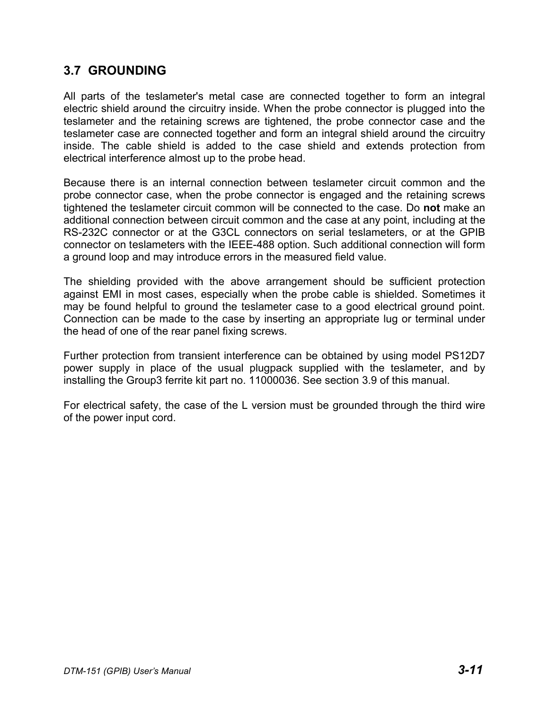## **3.7 GROUNDING**

All parts of the teslameter's metal case are connected together to form an integral electric shield around the circuitry inside. When the probe connector is plugged into the teslameter and the retaining screws are tightened, the probe connector case and the teslameter case are connected together and form an integral shield around the circuitry inside. The cable shield is added to the case shield and extends protection from electrical interference almost up to the probe head.

Because there is an internal connection between teslameter circuit common and the probe connector case, when the probe connector is engaged and the retaining screws tightened the teslameter circuit common will be connected to the case. Do **not** make an additional connection between circuit common and the case at any point, including at the RS-232C connector or at the G3CL connectors on serial teslameters, or at the GPIB connector on teslameters with the IEEE-488 option. Such additional connection will form a ground loop and may introduce errors in the measured field value.

The shielding provided with the above arrangement should be sufficient protection against EMI in most cases, especially when the probe cable is shielded. Sometimes it may be found helpful to ground the teslameter case to a good electrical ground point. Connection can be made to the case by inserting an appropriate lug or terminal under the head of one of the rear panel fixing screws.

Further protection from transient interference can be obtained by using model PS12D7 power supply in place of the usual plugpack supplied with the teslameter, and by installing the Group3 ferrite kit part no. 11000036. See section 3.9 of this manual.

For electrical safety, the case of the L version must be grounded through the third wire of the power input cord.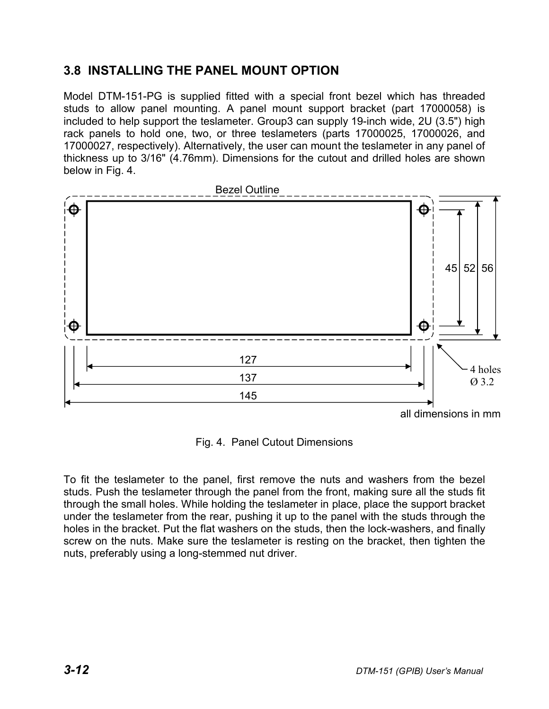# **3.8 INSTALLING THE PANEL MOUNT OPTION**

Model DTM-151-PG is supplied fitted with a special front bezel which has threaded studs to allow panel mounting. A panel mount support bracket (part 17000058) is included to help support the teslameter. Group3 can supply 19-inch wide, 2U (3.5") high rack panels to hold one, two, or three teslameters (parts 17000025, 17000026, and 17000027, respectively). Alternatively, the user can mount the teslameter in any panel of thickness up to 3/16" (4.76mm). Dimensions for the cutout and drilled holes are shown below in Fig. 4.



Fig. 4. Panel Cutout Dimensions

To fit the teslameter to the panel, first remove the nuts and washers from the bezel studs. Push the teslameter through the panel from the front, making sure all the studs fit through the small holes. While holding the teslameter in place, place the support bracket under the teslameter from the rear, pushing it up to the panel with the studs through the holes in the bracket. Put the flat washers on the studs, then the lock-washers, and finally screw on the nuts. Make sure the teslameter is resting on the bracket, then tighten the nuts, preferably using a long-stemmed nut driver.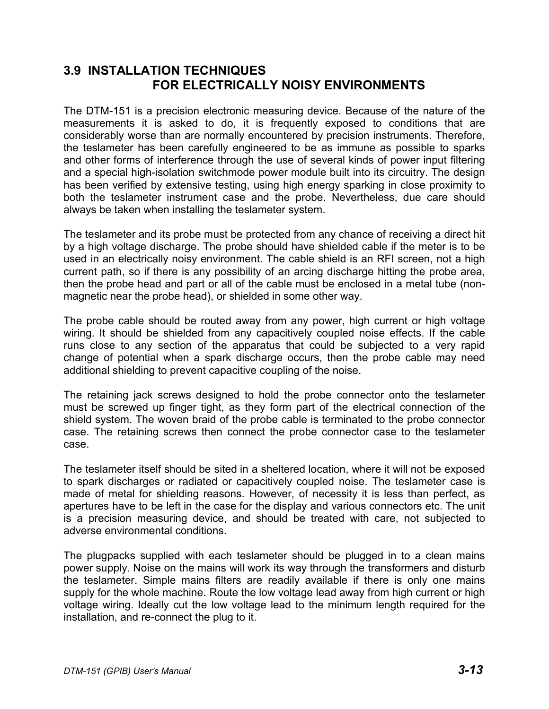## **3.9 INSTALLATION TECHNIQUES FOR ELECTRICALLY NOISY ENVIRONMENTS**

The DTM-151 is a precision electronic measuring device. Because of the nature of the measurements it is asked to do, it is frequently exposed to conditions that are considerably worse than are normally encountered by precision instruments. Therefore, the teslameter has been carefully engineered to be as immune as possible to sparks and other forms of interference through the use of several kinds of power input filtering and a special high-isolation switchmode power module built into its circuitry. The design has been verified by extensive testing, using high energy sparking in close proximity to both the teslameter instrument case and the probe. Nevertheless, due care should always be taken when installing the teslameter system.

The teslameter and its probe must be protected from any chance of receiving a direct hit by a high voltage discharge. The probe should have shielded cable if the meter is to be used in an electrically noisy environment. The cable shield is an RFI screen, not a high current path, so if there is any possibility of an arcing discharge hitting the probe area, then the probe head and part or all of the cable must be enclosed in a metal tube (nonmagnetic near the probe head), or shielded in some other way.

The probe cable should be routed away from any power, high current or high voltage wiring. It should be shielded from any capacitively coupled noise effects. If the cable runs close to any section of the apparatus that could be subjected to a very rapid change of potential when a spark discharge occurs, then the probe cable may need additional shielding to prevent capacitive coupling of the noise.

The retaining jack screws designed to hold the probe connector onto the teslameter must be screwed up finger tight, as they form part of the electrical connection of the shield system. The woven braid of the probe cable is terminated to the probe connector case. The retaining screws then connect the probe connector case to the teslameter case.

The teslameter itself should be sited in a sheltered location, where it will not be exposed to spark discharges or radiated or capacitively coupled noise. The teslameter case is made of metal for shielding reasons. However, of necessity it is less than perfect, as apertures have to be left in the case for the display and various connectors etc. The unit is a precision measuring device, and should be treated with care, not subjected to adverse environmental conditions.

The plugpacks supplied with each teslameter should be plugged in to a clean mains power supply. Noise on the mains will work its way through the transformers and disturb the teslameter. Simple mains filters are readily available if there is only one mains supply for the whole machine. Route the low voltage lead away from high current or high voltage wiring. Ideally cut the low voltage lead to the minimum length required for the installation, and re-connect the plug to it.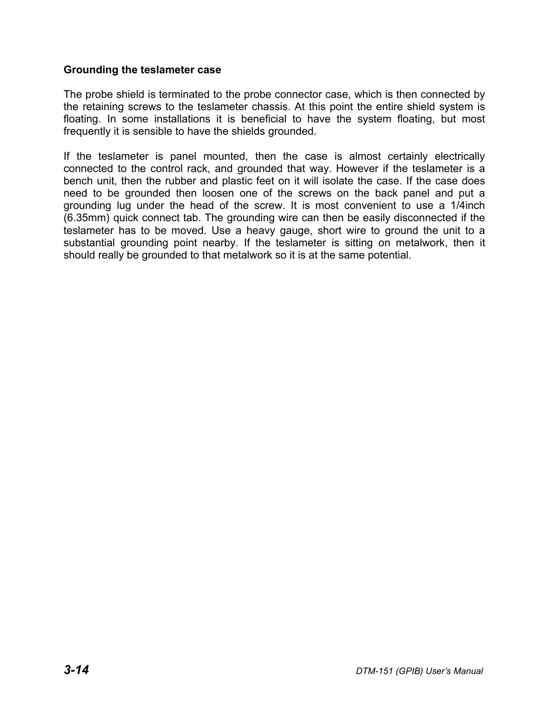#### **Grounding the teslameter case**

The probe shield is terminated to the probe connector case, which is then connected by the retaining screws to the teslameter chassis. At this point the entire shield system is floating. In some installations it is beneficial to have the system floating, but most frequently it is sensible to have the shields grounded.

If the teslameter is panel mounted, then the case is almost certainly electrically connected to the control rack, and grounded that way. However if the teslameter is a bench unit, then the rubber and plastic feet on it will isolate the case. If the case does need to be grounded then loosen one of the screws on the back panel and put a grounding lug under the head of the screw. It is most convenient to use a 1/4inch (6.35mm) quick connect tab. The grounding wire can then be easily disconnected if the teslameter has to be moved. Use a heavy gauge, short wire to ground the unit to a substantial grounding point nearby. If the teslameter is sitting on metalwork, then it should really be grounded to that metalwork so it is at the same potential.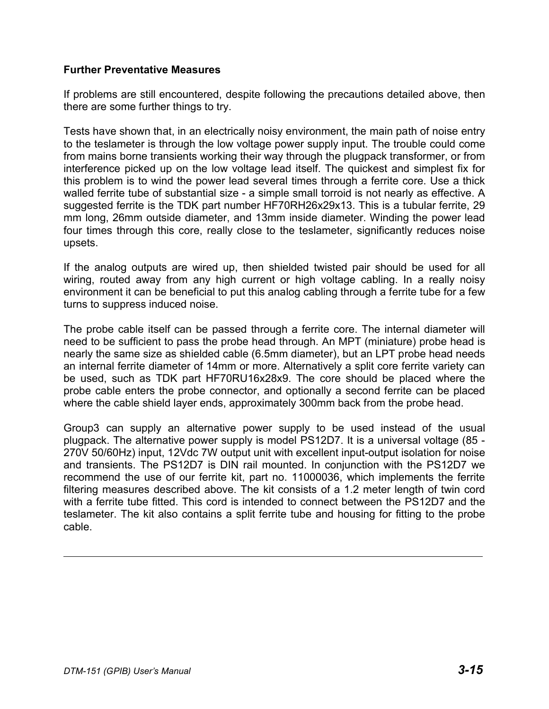#### **Further Preventative Measures**

If problems are still encountered, despite following the precautions detailed above, then there are some further things to try.

Tests have shown that, in an electrically noisy environment, the main path of noise entry to the teslameter is through the low voltage power supply input. The trouble could come from mains borne transients working their way through the plugpack transformer, or from interference picked up on the low voltage lead itself. The quickest and simplest fix for this problem is to wind the power lead several times through a ferrite core. Use a thick walled ferrite tube of substantial size - a simple small torroid is not nearly as effective. A suggested ferrite is the TDK part number HF70RH26x29x13. This is a tubular ferrite, 29 mm long, 26mm outside diameter, and 13mm inside diameter. Winding the power lead four times through this core, really close to the teslameter, significantly reduces noise upsets.

If the analog outputs are wired up, then shielded twisted pair should be used for all wiring, routed away from any high current or high voltage cabling. In a really noisy environment it can be beneficial to put this analog cabling through a ferrite tube for a few turns to suppress induced noise.

The probe cable itself can be passed through a ferrite core. The internal diameter will need to be sufficient to pass the probe head through. An MPT (miniature) probe head is nearly the same size as shielded cable (6.5mm diameter), but an LPT probe head needs an internal ferrite diameter of 14mm or more. Alternatively a split core ferrite variety can be used, such as TDK part HF70RU16x28x9. The core should be placed where the probe cable enters the probe connector, and optionally a second ferrite can be placed where the cable shield layer ends, approximately 300mm back from the probe head.

Group3 can supply an alternative power supply to be used instead of the usual plugpack. The alternative power supply is model PS12D7. It is a universal voltage (85 - 270V 50/60Hz) input, 12Vdc 7W output unit with excellent input-output isolation for noise and transients. The PS12D7 is DIN rail mounted. In conjunction with the PS12D7 we recommend the use of our ferrite kit, part no. 11000036, which implements the ferrite filtering measures described above. The kit consists of a 1.2 meter length of twin cord with a ferrite tube fitted. This cord is intended to connect between the PS12D7 and the teslameter. The kit also contains a split ferrite tube and housing for fitting to the probe cable.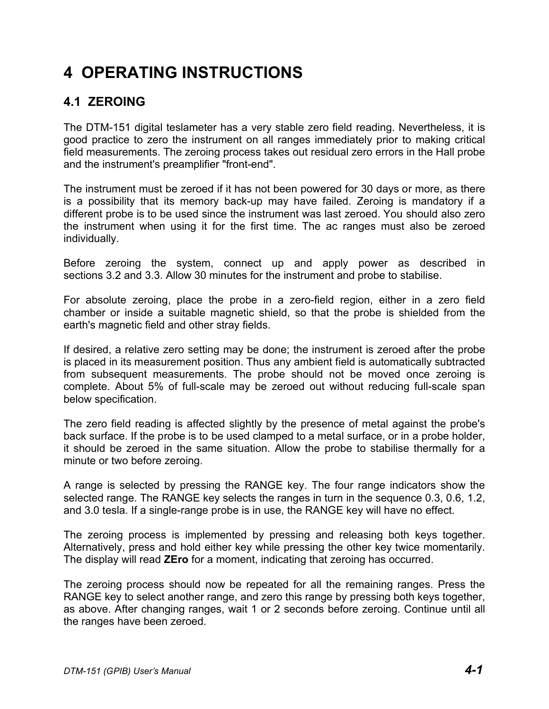# **4 OPERATING INSTRUCTIONS**

# **4.1 ZEROING**

The DTM-151 digital teslameter has a very stable zero field reading. Nevertheless, it is good practice to zero the instrument on all ranges immediately prior to making critical field measurements. The zeroing process takes out residual zero errors in the Hall probe and the instrument's preamplifier "front-end".

The instrument must be zeroed if it has not been powered for 30 days or more, as there is a possibility that its memory back-up may have failed. Zeroing is mandatory if a different probe is to be used since the instrument was last zeroed. You should also zero the instrument when using it for the first time. The ac ranges must also be zeroed individually.

Before zeroing the system, connect up and apply power as described in sections 3.2 and 3.3. Allow 30 minutes for the instrument and probe to stabilise.

For absolute zeroing, place the probe in a zero-field region, either in a zero field chamber or inside a suitable magnetic shield, so that the probe is shielded from the earth's magnetic field and other stray fields.

If desired, a relative zero setting may be done; the instrument is zeroed after the probe is placed in its measurement position. Thus any ambient field is automatically subtracted from subsequent measurements. The probe should not be moved once zeroing is complete. About 5% of full-scale may be zeroed out without reducing full-scale span below specification.

The zero field reading is affected slightly by the presence of metal against the probe's back surface. If the probe is to be used clamped to a metal surface, or in a probe holder, it should be zeroed in the same situation. Allow the probe to stabilise thermally for a minute or two before zeroing.

A range is selected by pressing the RANGE key. The four range indicators show the selected range. The RANGE key selects the ranges in turn in the sequence 0.3, 0.6, 1.2, and 3.0 tesla. If a single-range probe is in use, the RANGE key will have no effect.

The zeroing process is implemented by pressing and releasing both keys together. Alternatively, press and hold either key while pressing the other key twice momentarily. The display will read **ZEro** for a moment, indicating that zeroing has occurred.

The zeroing process should now be repeated for all the remaining ranges. Press the RANGE key to select another range, and zero this range by pressing both keys together, as above. After changing ranges, wait 1 or 2 seconds before zeroing. Continue until all the ranges have been zeroed.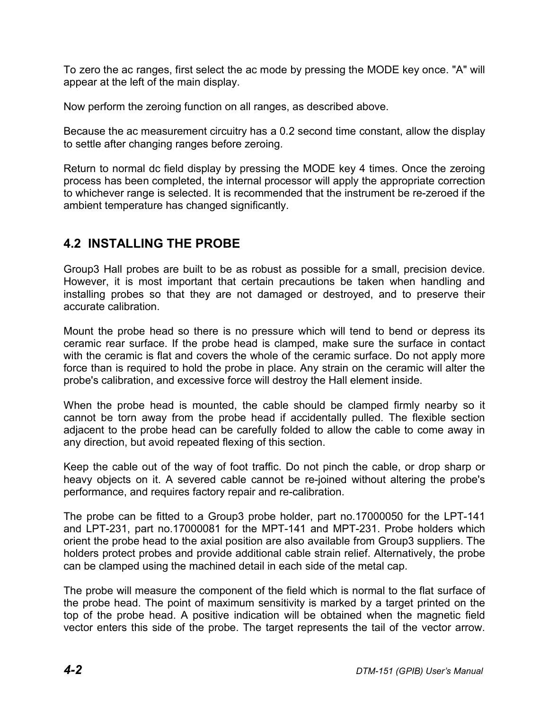To zero the ac ranges, first select the ac mode by pressing the MODE key once. "A" will appear at the left of the main display.

Now perform the zeroing function on all ranges, as described above.

Because the ac measurement circuitry has a 0.2 second time constant, allow the display to settle after changing ranges before zeroing.

Return to normal dc field display by pressing the MODE key 4 times. Once the zeroing process has been completed, the internal processor will apply the appropriate correction to whichever range is selected. It is recommended that the instrument be re-zeroed if the ambient temperature has changed significantly.

# **4.2 INSTALLING THE PROBE**

Group3 Hall probes are built to be as robust as possible for a small, precision device. However, it is most important that certain precautions be taken when handling and installing probes so that they are not damaged or destroyed, and to preserve their accurate calibration.

Mount the probe head so there is no pressure which will tend to bend or depress its ceramic rear surface. If the probe head is clamped, make sure the surface in contact with the ceramic is flat and covers the whole of the ceramic surface. Do not apply more force than is required to hold the probe in place. Any strain on the ceramic will alter the probe's calibration, and excessive force will destroy the Hall element inside.

When the probe head is mounted, the cable should be clamped firmly nearby so it cannot be torn away from the probe head if accidentally pulled. The flexible section adjacent to the probe head can be carefully folded to allow the cable to come away in any direction, but avoid repeated flexing of this section.

Keep the cable out of the way of foot traffic. Do not pinch the cable, or drop sharp or heavy objects on it. A severed cable cannot be re-joined without altering the probe's performance, and requires factory repair and re-calibration.

The probe can be fitted to a Group3 probe holder, part no.17000050 for the LPT-141 and LPT-231, part no.17000081 for the MPT-141 and MPT-231. Probe holders which orient the probe head to the axial position are also available from Group3 suppliers. The holders protect probes and provide additional cable strain relief. Alternatively, the probe can be clamped using the machined detail in each side of the metal cap.

The probe will measure the component of the field which is normal to the flat surface of the probe head. The point of maximum sensitivity is marked by a target printed on the top of the probe head. A positive indication will be obtained when the magnetic field vector enters this side of the probe. The target represents the tail of the vector arrow.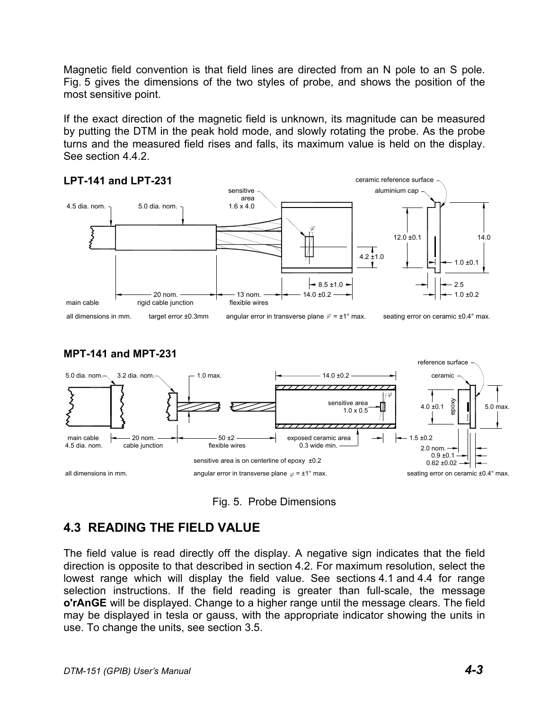Magnetic field convention is that field lines are directed from an N pole to an S pole. Fig. 5 gives the dimensions of the two styles of probe, and shows the position of the most sensitive point.

If the exact direction of the magnetic field is unknown, its magnitude can be measured by putting the DTM in the peak hold mode, and slowly rotating the probe. As the probe turns and the measured field rises and falls, its maximum value is held on the display. See section 4.4.2.







Fig. 5. Probe Dimensions

# **4.3 READING THE FIELD VALUE**

The field value is read directly off the display. A negative sign indicates that the field direction is opposite to that described in section 4.2. For maximum resolution, select the lowest range which will display the field value. See sections 4.1 and 4.4 for range selection instructions. If the field reading is greater than full-scale, the message **o'rAnGE** will be displayed. Change to a higher range until the message clears. The field may be displayed in tesla or gauss, with the appropriate indicator showing the units in use. To change the units, see section 3.5.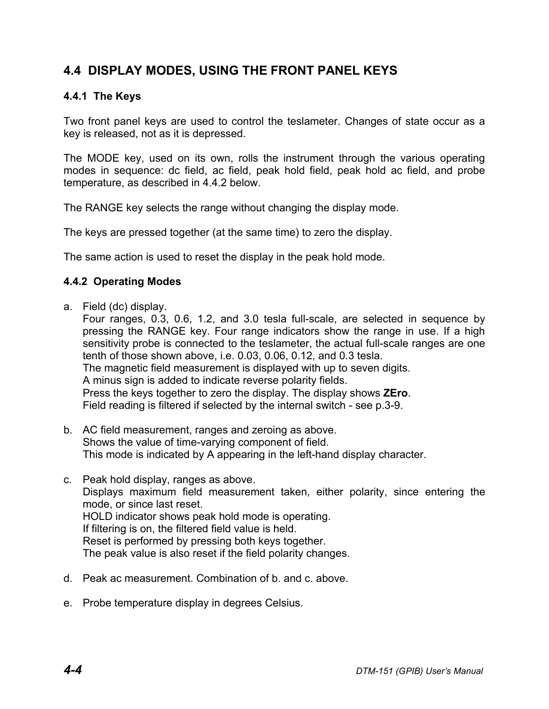# **4.4 DISPLAY MODES, USING THE FRONT PANEL KEYS**

## **4.4.1 The Keys**

Two front panel keys are used to control the teslameter. Changes of state occur as a key is released, not as it is depressed.

The MODE key, used on its own, rolls the instrument through the various operating modes in sequence: dc field, ac field, peak hold field, peak hold ac field, and probe temperature, as described in 4.4.2 below.

The RANGE key selects the range without changing the display mode.

The keys are pressed together (at the same time) to zero the display.

The same action is used to reset the display in the peak hold mode.

#### **4.4.2 Operating Modes**

a. Field (dc) display.

Four ranges, 0.3, 0.6, 1.2, and 3.0 tesla full-scale, are selected in sequence by pressing the RANGE key. Four range indicators show the range in use. If a high sensitivity probe is connected to the teslameter, the actual full-scale ranges are one tenth of those shown above, i.e. 0.03, 0.06, 0.12, and 0.3 tesla. The magnetic field measurement is displayed with up to seven digits. A minus sign is added to indicate reverse polarity fields. Press the keys together to zero the display. The display shows **ZEro**. Field reading is filtered if selected by the internal switch - see p.3-9.

- b. AC field measurement, ranges and zeroing as above. Shows the value of time-varying component of field. This mode is indicated by A appearing in the left-hand display character.
- c. Peak hold display, ranges as above. Displays maximum field measurement taken, either polarity, since entering the mode, or since last reset. HOLD indicator shows peak hold mode is operating. If filtering is on, the filtered field value is held. Reset is performed by pressing both keys together. The peak value is also reset if the field polarity changes.
- d. Peak ac measurement. Combination of b. and c. above.
- e. Probe temperature display in degrees Celsius.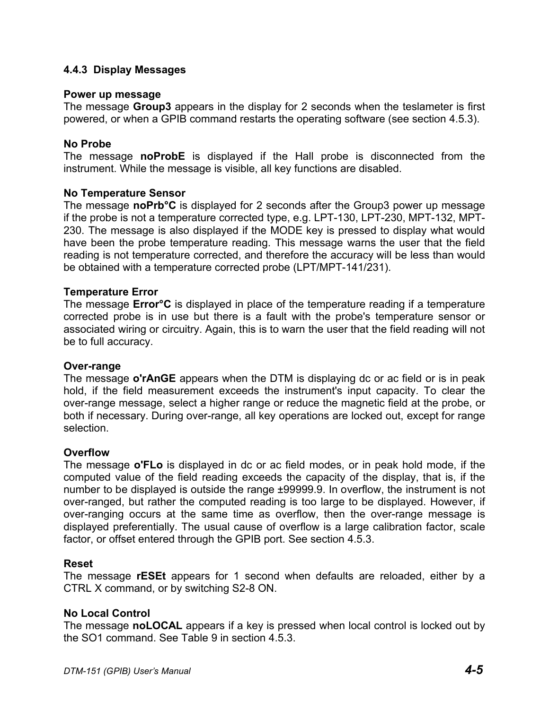#### **4.4.3 Display Messages**

#### **Power up message**

The message **Group3** appears in the display for 2 seconds when the teslameter is first powered, or when a GPIB command restarts the operating software (see section 4.5.3).

#### **No Probe**

The message **noProbE** is displayed if the Hall probe is disconnected from the instrument. While the message is visible, all key functions are disabled.

#### **No Temperature Sensor**

The message **noPrb°C** is displayed for 2 seconds after the Group3 power up message if the probe is not a temperature corrected type, e.g. LPT-130, LPT-230, MPT-132, MPT-230. The message is also displayed if the MODE key is pressed to display what would have been the probe temperature reading. This message warns the user that the field reading is not temperature corrected, and therefore the accuracy will be less than would be obtained with a temperature corrected probe (LPT/MPT-141/231).

#### **Temperature Error**

The message **Error°C** is displayed in place of the temperature reading if a temperature corrected probe is in use but there is a fault with the probe's temperature sensor or associated wiring or circuitry. Again, this is to warn the user that the field reading will not be to full accuracy.

#### **Over-range**

The message **o'rAnGE** appears when the DTM is displaying dc or ac field or is in peak hold, if the field measurement exceeds the instrument's input capacity. To clear the over-range message, select a higher range or reduce the magnetic field at the probe, or both if necessary. During over-range, all key operations are locked out, except for range selection.

#### **Overflow**

The message **o'FLo** is displayed in dc or ac field modes, or in peak hold mode, if the computed value of the field reading exceeds the capacity of the display, that is, if the number to be displayed is outside the range ±99999.9. In overflow, the instrument is not over-ranged, but rather the computed reading is too large to be displayed. However, if over-ranging occurs at the same time as overflow, then the over-range message is displayed preferentially. The usual cause of overflow is a large calibration factor, scale factor, or offset entered through the GPIB port. See section 4.5.3.

#### **Reset**

The message **rESEt** appears for 1 second when defaults are reloaded, either by a CTRL X command, or by switching S2-8 ON.

#### **No Local Control**

The message **noLOCAL** appears if a key is pressed when local control is locked out by the SO1 command. See Table 9 in section 4.5.3.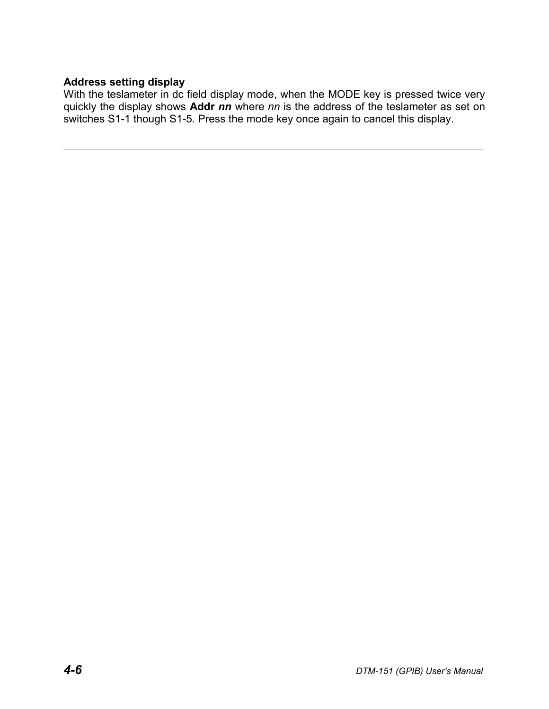## **Address setting display**

With the teslameter in dc field display mode, when the MODE key is pressed twice very quickly the display shows **Addr** *nn* where *nn* is the address of the teslameter as set on switches S1-1 though S1-5. Press the mode key once again to cancel this display.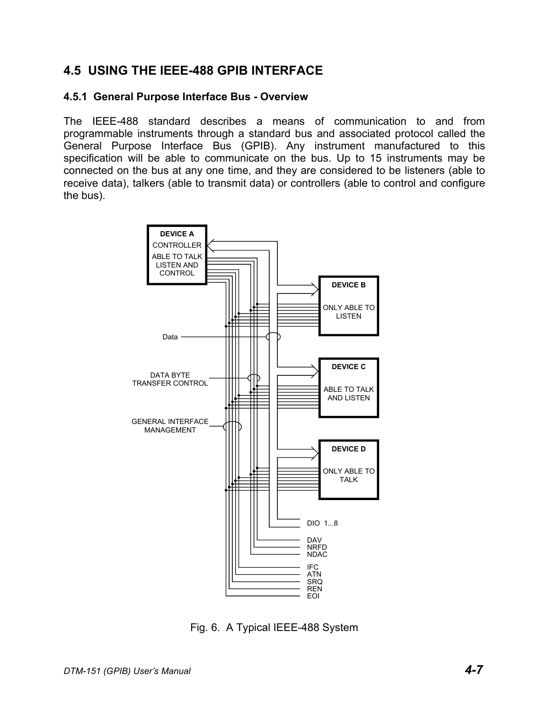## **4.5 USING THE IEEE-488 GPIB INTERFACE**

#### **4.5.1 General Purpose Interface Bus - Overview**

The IEEE-488 standard describes a means of communication to and from programmable instruments through a standard bus and associated protocol called the General Purpose Interface Bus (GPIB). Any instrument manufactured to this specification will be able to communicate on the bus. Up to 15 instruments may be connected on the bus at any one time, and they are considered to be listeners (able to receive data), talkers (able to transmit data) or controllers (able to control and configure the bus).



Fig. 6. A Typical IEEE-488 System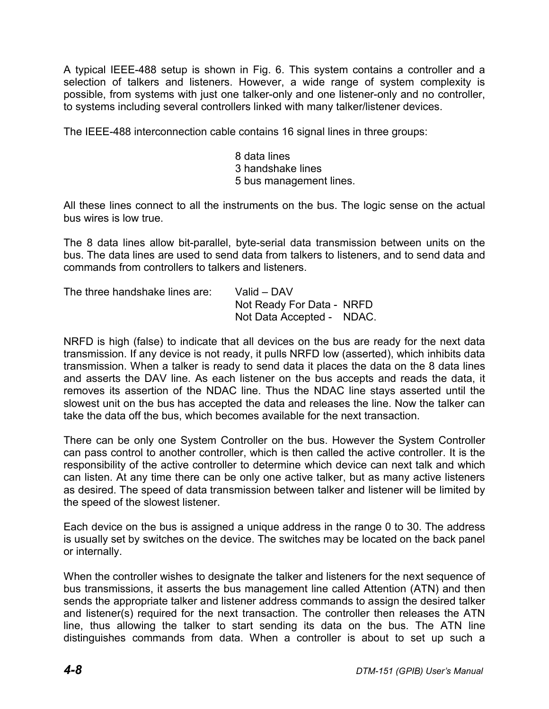A typical IEEE-488 setup is shown in Fig. 6. This system contains a controller and a selection of talkers and listeners. However, a wide range of system complexity is possible, from systems with just one talker-only and one listener-only and no controller, to systems including several controllers linked with many talker/listener devices.

The IEEE-488 interconnection cable contains 16 signal lines in three groups:

8 data lines 3 handshake lines 5 bus management lines.

All these lines connect to all the instruments on the bus. The logic sense on the actual bus wires is low true.

The 8 data lines allow bit-parallel, byte-serial data transmission between units on the bus. The data lines are used to send data from talkers to listeners, and to send data and commands from controllers to talkers and listeners.

| The three handshake lines are: | Valid – DAV               |  |
|--------------------------------|---------------------------|--|
|                                | Not Ready For Data - NRFD |  |
|                                | Not Data Accepted - NDAC. |  |

NRFD is high (false) to indicate that all devices on the bus are ready for the next data transmission. If any device is not ready, it pulls NRFD low (asserted), which inhibits data transmission. When a talker is ready to send data it places the data on the 8 data lines and asserts the DAV line. As each listener on the bus accepts and reads the data, it removes its assertion of the NDAC line. Thus the NDAC line stays asserted until the slowest unit on the bus has accepted the data and releases the line. Now the talker can take the data off the bus, which becomes available for the next transaction.

There can be only one System Controller on the bus. However the System Controller can pass control to another controller, which is then called the active controller. It is the responsibility of the active controller to determine which device can next talk and which can listen. At any time there can be only one active talker, but as many active listeners as desired. The speed of data transmission between talker and listener will be limited by the speed of the slowest listener.

Each device on the bus is assigned a unique address in the range 0 to 30. The address is usually set by switches on the device. The switches may be located on the back panel or internally.

When the controller wishes to designate the talker and listeners for the next sequence of bus transmissions, it asserts the bus management line called Attention (ATN) and then sends the appropriate talker and listener address commands to assign the desired talker and listener(s) required for the next transaction. The controller then releases the ATN line, thus allowing the talker to start sending its data on the bus. The ATN line distinguishes commands from data. When a controller is about to set up such a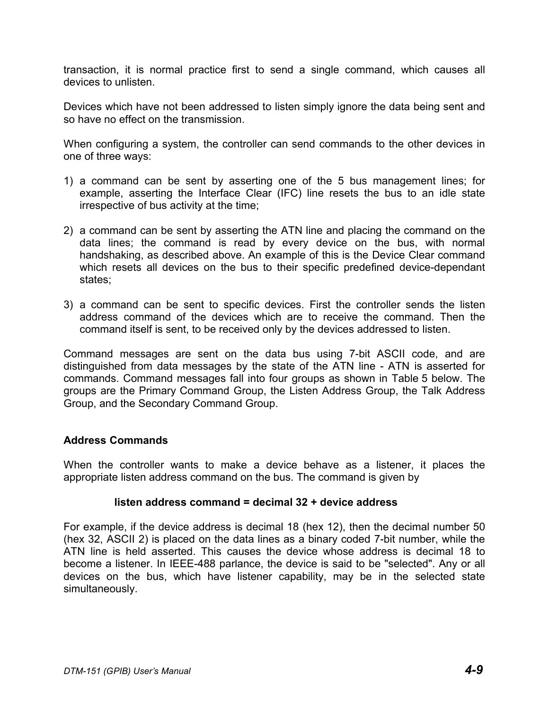transaction, it is normal practice first to send a single command, which causes all devices to unlisten.

Devices which have not been addressed to listen simply ignore the data being sent and so have no effect on the transmission.

When configuring a system, the controller can send commands to the other devices in one of three ways:

- 1) a command can be sent by asserting one of the 5 bus management lines; for example, asserting the Interface Clear (IFC) line resets the bus to an idle state irrespective of bus activity at the time;
- 2) a command can be sent by asserting the ATN line and placing the command on the data lines; the command is read by every device on the bus, with normal handshaking, as described above. An example of this is the Device Clear command which resets all devices on the bus to their specific predefined device-dependant states;
- 3) a command can be sent to specific devices. First the controller sends the listen address command of the devices which are to receive the command. Then the command itself is sent, to be received only by the devices addressed to listen.

Command messages are sent on the data bus using 7-bit ASCII code, and are distinguished from data messages by the state of the ATN line - ATN is asserted for commands. Command messages fall into four groups as shown in Table 5 below. The groups are the Primary Command Group, the Listen Address Group, the Talk Address Group, and the Secondary Command Group.

#### **Address Commands**

When the controller wants to make a device behave as a listener, it places the appropriate listen address command on the bus. The command is given by

#### **listen address command = decimal 32 + device address**

For example, if the device address is decimal 18 (hex 12), then the decimal number 50 (hex 32, ASCII 2) is placed on the data lines as a binary coded 7-bit number, while the ATN line is held asserted. This causes the device whose address is decimal 18 to become a listener. In IEEE-488 parlance, the device is said to be "selected". Any or all devices on the bus, which have listener capability, may be in the selected state simultaneously.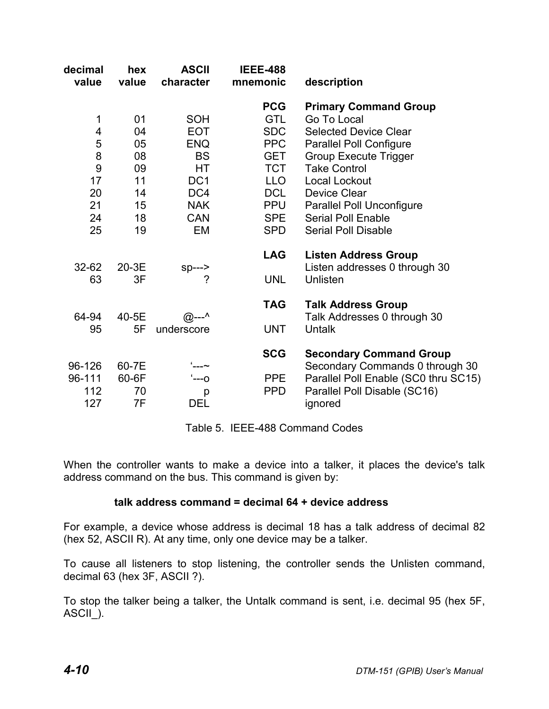| decimal<br>value | hex<br>value | <b>ASCII</b><br>character | <b>IEEE-488</b><br>mnemonic | description                                                       |
|------------------|--------------|---------------------------|-----------------------------|-------------------------------------------------------------------|
|                  |              |                           | <b>PCG</b>                  | <b>Primary Command Group</b>                                      |
| 1                | 01           | <b>SOH</b>                | <b>GTL</b>                  | Go To Local                                                       |
| 4                | 04           | <b>EOT</b>                | <b>SDC</b>                  | <b>Selected Device Clear</b>                                      |
| 5                | 05           | <b>ENQ</b>                | <b>PPC</b>                  | <b>Parallel Poll Configure</b>                                    |
| 8                | 08           | <b>BS</b>                 | <b>GET</b>                  | <b>Group Execute Trigger</b>                                      |
| 9                | 09           | HT                        | <b>TCT</b>                  | <b>Take Control</b>                                               |
| 17               | 11           | DC <sub>1</sub>           | LLO                         | Local Lockout                                                     |
| 20               | 14           | DC4                       | <b>DCL</b>                  | <b>Device Clear</b>                                               |
| 21               | 15           | <b>NAK</b>                | <b>PPU</b>                  | <b>Parallel Poll Unconfigure</b>                                  |
| 24               | 18           | <b>CAN</b>                | SPE                         | Serial Poll Enable                                                |
| 25               | 19           | EM                        | <b>SPD</b>                  | <b>Serial Poll Disable</b>                                        |
| $32 - 62$        | 20-3E        | $sp---$                   | <b>LAG</b>                  | <b>Listen Address Group</b><br>Listen addresses 0 through 30      |
| 63               | 3F           | 7                         | <b>UNL</b>                  | Unlisten                                                          |
| 64-94            | 40-5E        | $@^{--^{\wedge}}$         | <b>TAG</b>                  | <b>Talk Address Group</b><br>Talk Addresses 0 through 30          |
| 95               | 5F           | underscore                | <b>UNT</b>                  | Untalk                                                            |
| 96-126           | 60-7E        |                           | <b>SCG</b>                  | <b>Secondary Command Group</b><br>Secondary Commands 0 through 30 |
| 96-111           | 60-6F        | $- -0$                    | PPE                         | Parallel Poll Enable (SC0 thru SC15)                              |
| 112              | 70           | p                         | <b>PPD</b>                  | Parallel Poll Disable (SC16)                                      |
| 127              | 7F           | <b>DEL</b>                |                             | ignored                                                           |

Table 5. IEEE-488 Command Codes

When the controller wants to make a device into a talker, it places the device's talk address command on the bus. This command is given by:

#### **talk address command = decimal 64 + device address**

For example, a device whose address is decimal 18 has a talk address of decimal 82 (hex 52, ASCII R). At any time, only one device may be a talker.

To cause all listeners to stop listening, the controller sends the Unlisten command, decimal 63 (hex 3F, ASCII ?).

To stop the talker being a talker, the Untalk command is sent, i.e. decimal 95 (hex 5F, ASCII).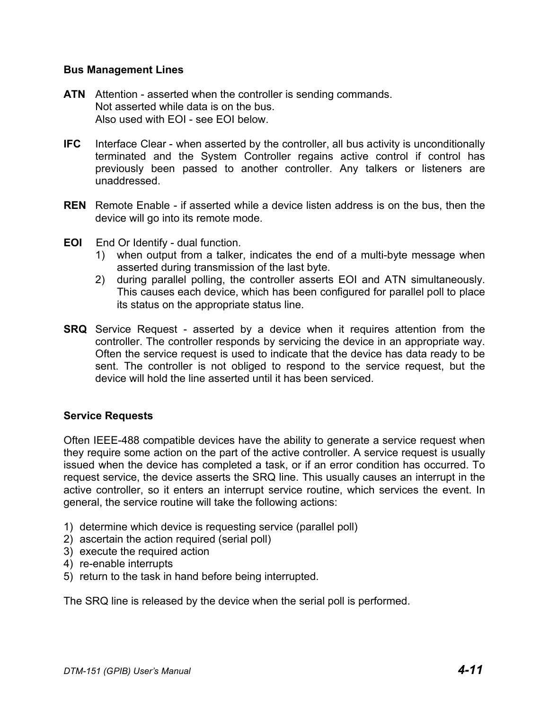#### **Bus Management Lines**

- **ATN** Attention asserted when the controller is sending commands. Not asserted while data is on the bus. Also used with EOI - see EOI below.
- **IFC** Interface Clear when asserted by the controller, all bus activity is unconditionally terminated and the System Controller regains active control if control has previously been passed to another controller. Any talkers or listeners are unaddressed.
- **REN** Remote Enable if asserted while a device listen address is on the bus, then the device will go into its remote mode.
- **EOI** End Or Identify dual function.
	- 1) when output from a talker, indicates the end of a multi-byte message when asserted during transmission of the last byte.
	- 2) during parallel polling, the controller asserts EOI and ATN simultaneously. This causes each device, which has been configured for parallel poll to place its status on the appropriate status line.
- **SRQ** Service Request asserted by a device when it requires attention from the controller. The controller responds by servicing the device in an appropriate way. Often the service request is used to indicate that the device has data ready to be sent. The controller is not obliged to respond to the service request, but the device will hold the line asserted until it has been serviced.

#### **Service Requests**

Often IEEE-488 compatible devices have the ability to generate a service request when they require some action on the part of the active controller. A service request is usually issued when the device has completed a task, or if an error condition has occurred. To request service, the device asserts the SRQ line. This usually causes an interrupt in the active controller, so it enters an interrupt service routine, which services the event. In general, the service routine will take the following actions:

- 1) determine which device is requesting service (parallel poll)
- 2) ascertain the action required (serial poll)
- 3) execute the required action
- 4) re-enable interrupts
- 5) return to the task in hand before being interrupted.

The SRQ line is released by the device when the serial poll is performed.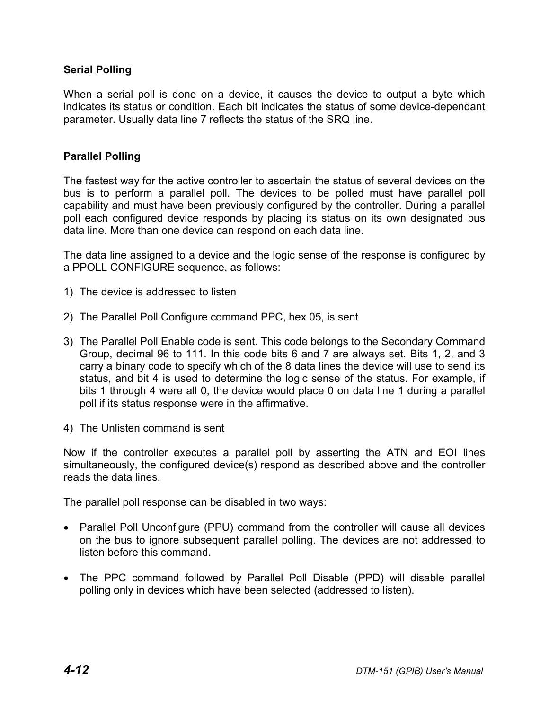#### **Serial Polling**

When a serial poll is done on a device, it causes the device to output a byte which indicates its status or condition. Each bit indicates the status of some device-dependant parameter. Usually data line 7 reflects the status of the SRQ line.

#### **Parallel Polling**

The fastest way for the active controller to ascertain the status of several devices on the bus is to perform a parallel poll. The devices to be polled must have parallel poll capability and must have been previously configured by the controller. During a parallel poll each configured device responds by placing its status on its own designated bus data line. More than one device can respond on each data line.

The data line assigned to a device and the logic sense of the response is configured by a PPOLL CONFIGURE sequence, as follows:

- 1) The device is addressed to listen
- 2) The Parallel Poll Configure command PPC, hex 05, is sent
- 3) The Parallel Poll Enable code is sent. This code belongs to the Secondary Command Group, decimal 96 to 111. In this code bits 6 and 7 are always set. Bits 1, 2, and 3 carry a binary code to specify which of the 8 data lines the device will use to send its status, and bit 4 is used to determine the logic sense of the status. For example, if bits 1 through 4 were all 0, the device would place 0 on data line 1 during a parallel poll if its status response were in the affirmative.
- 4) The Unlisten command is sent

Now if the controller executes a parallel poll by asserting the ATN and EOI lines simultaneously, the configured device(s) respond as described above and the controller reads the data lines.

The parallel poll response can be disabled in two ways:

- Parallel Poll Unconfigure (PPU) command from the controller will cause all devices on the bus to ignore subsequent parallel polling. The devices are not addressed to listen before this command.
- The PPC command followed by Parallel Poll Disable (PPD) will disable parallel polling only in devices which have been selected (addressed to listen).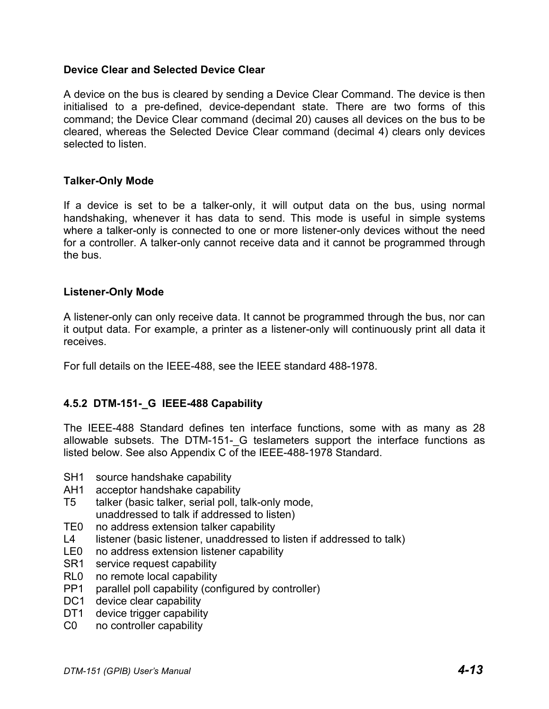#### **Device Clear and Selected Device Clear**

A device on the bus is cleared by sending a Device Clear Command. The device is then initialised to a pre-defined, device-dependant state. There are two forms of this command; the Device Clear command (decimal 20) causes all devices on the bus to be cleared, whereas the Selected Device Clear command (decimal 4) clears only devices selected to listen.

#### **Talker-Only Mode**

If a device is set to be a talker-only, it will output data on the bus, using normal handshaking, whenever it has data to send. This mode is useful in simple systems where a talker-only is connected to one or more listener-only devices without the need for a controller. A talker-only cannot receive data and it cannot be programmed through the bus.

#### **Listener-Only Mode**

A listener-only can only receive data. It cannot be programmed through the bus, nor can it output data. For example, a printer as a listener-only will continuously print all data it receives.

For full details on the IEEE-488, see the IEEE standard 488-1978.

## **4.5.2 DTM-151-\_G IEEE-488 Capability**

The IEEE-488 Standard defines ten interface functions, some with as many as 28 allowable subsets. The DTM-151- G teslameters support the interface functions as listed below. See also Appendix C of the IEEE-488-1978 Standard.

- SH1 source handshake capability
- AH1 acceptor handshake capability
- T5 talker (basic talker, serial poll, talk-only mode, unaddressed to talk if addressed to listen)
- TE0 no address extension talker capability
- L4 listener (basic listener, unaddressed to listen if addressed to talk)
- LE0 no address extension listener capability
- SR1 service request capability
- RL0 no remote local capability
- PP1 parallel poll capability (configured by controller)
- DC1 device clear capability
- DT1 device trigger capability
- C0 no controller capability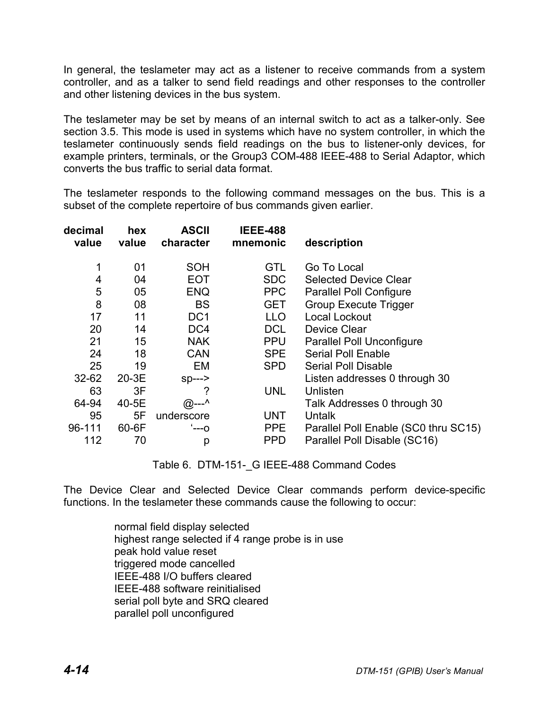In general, the teslameter may act as a listener to receive commands from a system controller, and as a talker to send field readings and other responses to the controller and other listening devices in the bus system.

The teslameter may be set by means of an internal switch to act as a talker-only. See section 3.5. This mode is used in systems which have no system controller, in which the teslameter continuously sends field readings on the bus to listener-only devices, for example printers, terminals, or the Group3 COM-488 IEEE-488 to Serial Adaptor, which converts the bus traffic to serial data format.

The teslameter responds to the following command messages on the bus. This is a subset of the complete repertoire of bus commands given earlier.

| decimal<br>value | hex<br>value | <b>ASCII</b><br>character | <b>IEEE-488</b><br>mnemonic | description                          |
|------------------|--------------|---------------------------|-----------------------------|--------------------------------------|
|                  |              |                           |                             |                                      |
| 1                | 01           | <b>SOH</b>                | <b>GTL</b>                  | Go To Local                          |
| 4                | 04           | <b>EOT</b>                | <b>SDC</b>                  | <b>Selected Device Clear</b>         |
| 5                | 05           | <b>ENQ</b>                | <b>PPC</b>                  | <b>Parallel Poll Configure</b>       |
| 8                | 08           | <b>BS</b>                 | <b>GET</b>                  | <b>Group Execute Trigger</b>         |
| 17               | 11           | DC <sub>1</sub>           | <b>LLO</b>                  | Local Lockout                        |
| 20               | 14           | DC4                       | <b>DCL</b>                  | Device Clear                         |
| 21               | 15           | <b>NAK</b>                | <b>PPU</b>                  | Parallel Poll Unconfigure            |
| 24               | 18           | <b>CAN</b>                | <b>SPE</b>                  | <b>Serial Poll Enable</b>            |
| 25               | 19           | EM                        | <b>SPD</b>                  | <b>Serial Poll Disable</b>           |
| $32 - 62$        | 20-3E        | $sp---$                   |                             | Listen addresses 0 through 30        |
| 63               | 3F           | ?                         | <b>UNL</b>                  | Unlisten                             |
| 64-94            | 40-5E        | $@^{--\wedge}$            |                             | Talk Addresses 0 through 30          |
| 95               | 5F           | underscore                | <b>UNT</b>                  | Untalk                               |
| 96-111           | 60-6F        | '---0                     | <b>PPE</b>                  | Parallel Poll Enable (SC0 thru SC15) |
| 112              | 70           | р                         | <b>PPD</b>                  | Parallel Poll Disable (SC16)         |

Table 6. DTM-151- G IEEE-488 Command Codes

The Device Clear and Selected Device Clear commands perform device-specific functions. In the teslameter these commands cause the following to occur:

> normal field display selected highest range selected if 4 range probe is in use peak hold value reset triggered mode cancelled IEEE-488 I/O buffers cleared IEEE-488 software reinitialised serial poll byte and SRQ cleared parallel poll unconfigured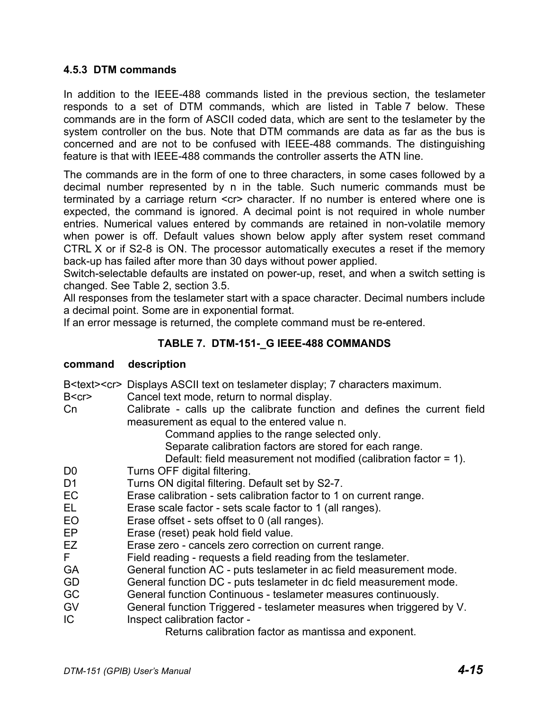#### **4.5.3 DTM commands**

In addition to the IEEE-488 commands listed in the previous section, the teslameter responds to a set of DTM commands, which are listed in Table 7 below. These commands are in the form of ASCII coded data, which are sent to the teslameter by the system controller on the bus. Note that DTM commands are data as far as the bus is concerned and are not to be confused with IEEE-488 commands. The distinguishing feature is that with IEEE-488 commands the controller asserts the ATN line.

The commands are in the form of one to three characters, in some cases followed by a decimal number represented by n in the table. Such numeric commands must be terminated by a carriage return <cr> character. If no number is entered where one is expected, the command is ignored. A decimal point is not required in whole number entries. Numerical values entered by commands are retained in non-volatile memory when power is off. Default values shown below apply after system reset command CTRL X or if S2-8 is ON. The processor automatically executes a reset if the memory back-up has failed after more than 30 days without power applied.

Switch-selectable defaults are instated on power-up, reset, and when a switch setting is changed. See Table 2, section 3.5.

All responses from the teslameter start with a space character. Decimal numbers include a decimal point. Some are in exponential format.

If an error message is returned, the complete command must be re-entered.

## **TABLE 7. DTM-151-\_G IEEE-488 COMMANDS**

#### **command description**

B<text><cr> Displays ASCII text on teslameter display; 7 characters maximum.

- B<cr> Cancel text mode, return to normal display.
- Cn Calibrate calls up the calibrate function and defines the current field measurement as equal to the entered value n.

Command applies to the range selected only.

Separate calibration factors are stored for each range.

Default: field measurement not modified (calibration factor = 1).

- D0 Turns OFF digital filtering.
- D1 Turns ON digital filtering. Default set by S2-7.
- EC Erase calibration sets calibration factor to 1 on current range.
- EL Erase scale factor sets scale factor to 1 (all ranges).
- EO Erase offset sets offset to 0 (all ranges).
- EP Erase (reset) peak hold field value.
- EZ Erase zero cancels zero correction on current range.
- F Field reading requests a field reading from the teslameter.
- GA General function AC puts teslameter in ac field measurement mode.
- GD General function DC puts teslameter in dc field measurement mode.
- GC General function Continuous teslameter measures continuously.
- GV General function Triggered teslameter measures when triggered by V.
- IC Inspect calibration factor -

Returns calibration factor as mantissa and exponent.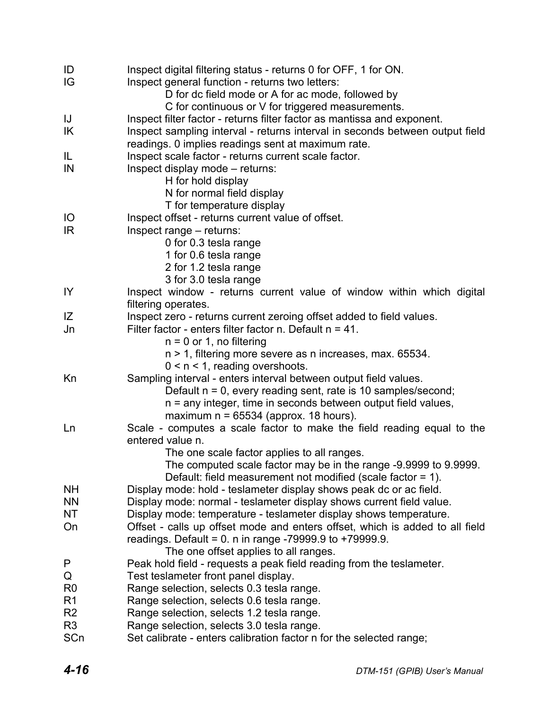| ID<br>IG       | Inspect digital filtering status - returns 0 for OFF, 1 for ON.<br>Inspect general function - returns two letters:                 |
|----------------|------------------------------------------------------------------------------------------------------------------------------------|
|                | D for dc field mode or A for ac mode, followed by<br>C for continuous or V for triggered measurements.                             |
| IJ             | Inspect filter factor - returns filter factor as mantissa and exponent.                                                            |
| IK             | Inspect sampling interval - returns interval in seconds between output field<br>readings. 0 implies readings sent at maximum rate. |
| IL             | Inspect scale factor - returns current scale factor.                                                                               |
| IN             | Inspect display mode - returns:                                                                                                    |
|                | H for hold display                                                                                                                 |
|                | N for normal field display                                                                                                         |
|                | T for temperature display                                                                                                          |
| IO             | Inspect offset - returns current value of offset.                                                                                  |
| IR.            | Inspect range - returns:                                                                                                           |
|                | 0 for 0.3 tesla range                                                                                                              |
|                | 1 for 0.6 tesla range                                                                                                              |
|                | 2 for 1.2 tesla range                                                                                                              |
|                | 3 for 3.0 tesla range                                                                                                              |
| IY             | Inspect window - returns current value of window within which digital<br>filtering operates.                                       |
| IZ             | Inspect zero - returns current zeroing offset added to field values.                                                               |
| Jn             | Filter factor - enters filter factor n. Default $n = 41$ .                                                                         |
|                | $n = 0$ or 1, no filtering                                                                                                         |
|                | n > 1, filtering more severe as n increases, max. 65534.                                                                           |
|                | $0 < n < 1$ , reading overshoots.                                                                                                  |
| Kn             | Sampling interval - enters interval between output field values.                                                                   |
|                | Default n = 0, every reading sent, rate is 10 samples/second;                                                                      |
|                | n = any integer, time in seconds between output field values,                                                                      |
|                | maximum $n = 65534$ (approx. 18 hours).                                                                                            |
| Ln             | Scale - computes a scale factor to make the field reading equal to the                                                             |
|                | entered value n.                                                                                                                   |
|                | The one scale factor applies to all ranges.                                                                                        |
|                | The computed scale factor may be in the range -9.9999 to 9.9999.<br>Default: field measurement not modified (scale factor = 1).    |
| <b>NH</b>      | Display mode: hold - teslameter display shows peak dc or ac field.                                                                 |
| <b>NN</b>      | Display mode: normal - teslameter display shows current field value.                                                               |
| NT             | Display mode: temperature - teslameter display shows temperature.                                                                  |
| On             | Offset - calls up offset mode and enters offset, which is added to all field                                                       |
|                | readings. Default = $0.$ n in range -79999.9 to +79999.9.                                                                          |
|                | The one offset applies to all ranges.                                                                                              |
| P              | Peak hold field - requests a peak field reading from the teslameter.                                                               |
| Q              | Test teslameter front panel display.                                                                                               |
| R <sub>0</sub> | Range selection, selects 0.3 tesla range.                                                                                          |
| R <sub>1</sub> | Range selection, selects 0.6 tesla range.                                                                                          |
| R <sub>2</sub> | Range selection, selects 1.2 tesla range.                                                                                          |
| R <sub>3</sub> | Range selection, selects 3.0 tesla range.                                                                                          |
| SCn            | Set calibrate - enters calibration factor n for the selected range;                                                                |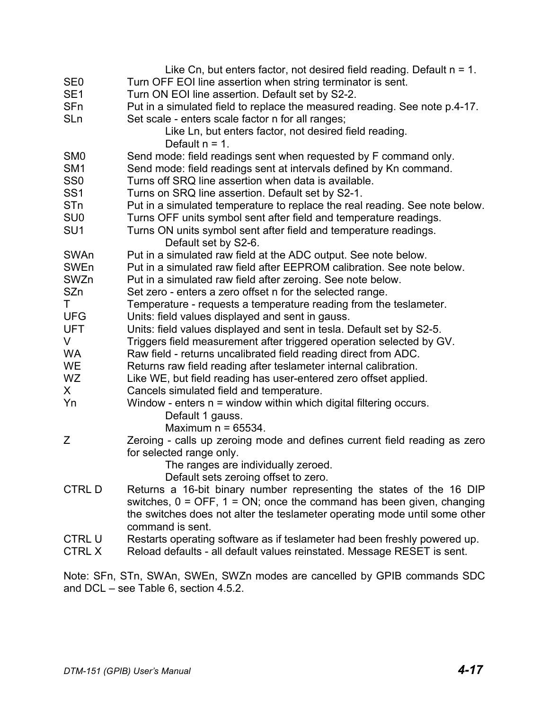|                 | Like Cn, but enters factor, not desired field reading. Default $n = 1$ .                 |
|-----------------|------------------------------------------------------------------------------------------|
| SE <sub>0</sub> | Turn OFF EOI line assertion when string terminator is sent.                              |
| SE <sub>1</sub> | Turn ON EOI line assertion. Default set by S2-2.                                         |
| SFn             | Put in a simulated field to replace the measured reading. See note p.4-17.               |
| <b>SLn</b>      | Set scale - enters scale factor n for all ranges;                                        |
|                 | Like Ln, but enters factor, not desired field reading.                                   |
|                 | Default $n = 1$ .                                                                        |
| SM <sub>0</sub> | Send mode: field readings sent when requested by F command only.                         |
| SM <sub>1</sub> | Send mode: field readings sent at intervals defined by Kn command.                       |
| SS <sub>0</sub> | Turns off SRQ line assertion when data is available.                                     |
| SS <sub>1</sub> | Turns on SRQ line assertion. Default set by S2-1.                                        |
| STn             | Put in a simulated temperature to replace the real reading. See note below.              |
| SU <sub>0</sub> | Turns OFF units symbol sent after field and temperature readings.                        |
| SU <sub>1</sub> |                                                                                          |
|                 | Turns ON units symbol sent after field and temperature readings.<br>Default set by S2-6. |
| SWAn            | Put in a simulated raw field at the ADC output. See note below.                          |
| SWEn            | Put in a simulated raw field after EEPROM calibration. See note below.                   |
| SWZn            | Put in a simulated raw field after zeroing. See note below.                              |
| SZn             |                                                                                          |
|                 | Set zero - enters a zero offset n for the selected range.                                |
| T.              | Temperature - requests a temperature reading from the teslameter.                        |
| <b>UFG</b>      | Units: field values displayed and sent in gauss.                                         |
| <b>UFT</b>      | Units: field values displayed and sent in tesla. Default set by S2-5.                    |
| V               | Triggers field measurement after triggered operation selected by GV.                     |
| <b>WA</b>       | Raw field - returns uncalibrated field reading direct from ADC.                          |
| <b>WE</b>       | Returns raw field reading after teslameter internal calibration.                         |
| <b>WZ</b>       | Like WE, but field reading has user-entered zero offset applied.                         |
| X.              | Cancels simulated field and temperature.                                                 |
| Yn              | Window - enters $n =$ window within which digital filtering occurs.                      |
|                 | Default 1 gauss.                                                                         |
|                 | Maximum $n = 65534$ .                                                                    |
| Ζ               | Zeroing - calls up zeroing mode and defines current field reading as zero                |
|                 | for selected range only.                                                                 |
|                 | The ranges are individually zeroed.                                                      |
|                 | Default sets zeroing offset to zero.                                                     |
| <b>CTRLD</b>    | Returns a 16-bit binary number representing the states of the 16 DIP                     |
|                 | switches, $0 =$ OFF, $1 =$ ON; once the command has been given, changing                 |
|                 | the switches does not alter the teslameter operating mode until some other               |
|                 | command is sent.                                                                         |
| <b>CTRL U</b>   | Restarts operating software as if teslameter had been freshly powered up.                |
| <b>CTRL X</b>   | Reload defaults - all default values reinstated. Message RESET is sent.                  |

Note: SFn, STn, SWAn, SWEn, SWZn modes are cancelled by GPIB commands SDC and DCL – see Table 6, section 4.5.2.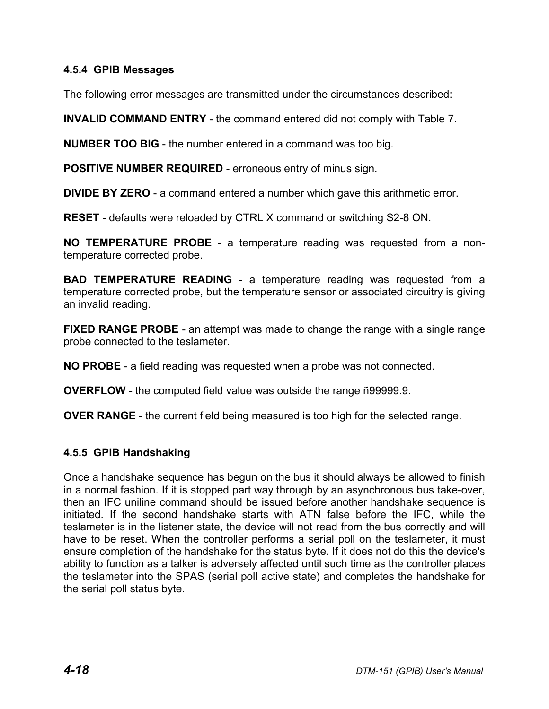### **4.5.4 GPIB Messages**

The following error messages are transmitted under the circumstances described:

**INVALID COMMAND ENTRY** - the command entered did not comply with Table 7.

**NUMBER TOO BIG** - the number entered in a command was too big.

**POSITIVE NUMBER REQUIRED** - erroneous entry of minus sign.

**DIVIDE BY ZERO** - a command entered a number which gave this arithmetic error.

**RESET** - defaults were reloaded by CTRL X command or switching S2-8 ON.

**NO TEMPERATURE PROBE** - a temperature reading was requested from a nontemperature corrected probe.

**BAD TEMPERATURE READING** - a temperature reading was requested from a temperature corrected probe, but the temperature sensor or associated circuitry is giving an invalid reading.

**FIXED RANGE PROBE** - an attempt was made to change the range with a single range probe connected to the teslameter.

**NO PROBE** - a field reading was requested when a probe was not connected.

**OVERFLOW** - the computed field value was outside the range ñ99999.9.

**OVER RANGE** - the current field being measured is too high for the selected range.

## **4.5.5 GPIB Handshaking**

Once a handshake sequence has begun on the bus it should always be allowed to finish in a normal fashion. If it is stopped part way through by an asynchronous bus take-over, then an IFC uniline command should be issued before another handshake sequence is initiated. If the second handshake starts with ATN false before the IFC, while the teslameter is in the listener state, the device will not read from the bus correctly and will have to be reset. When the controller performs a serial poll on the teslameter, it must ensure completion of the handshake for the status byte. If it does not do this the device's ability to function as a talker is adversely affected until such time as the controller places the teslameter into the SPAS (serial poll active state) and completes the handshake for the serial poll status byte.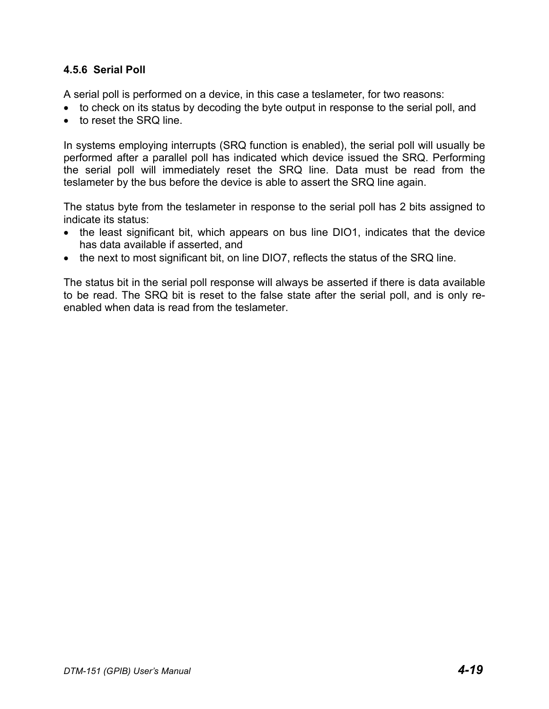### **4.5.6 Serial Poll**

A serial poll is performed on a device, in this case a teslameter, for two reasons:

- to check on its status by decoding the byte output in response to the serial poll, and
- to reset the SRQ line.

In systems employing interrupts (SRQ function is enabled), the serial poll will usually be performed after a parallel poll has indicated which device issued the SRQ. Performing the serial poll will immediately reset the SRQ line. Data must be read from the teslameter by the bus before the device is able to assert the SRQ line again.

The status byte from the teslameter in response to the serial poll has 2 bits assigned to indicate its status:

- the least significant bit, which appears on bus line DIO1, indicates that the device has data available if asserted, and
- the next to most significant bit, on line DIO7, reflects the status of the SRQ line.

The status bit in the serial poll response will always be asserted if there is data available to be read. The SRQ bit is reset to the false state after the serial poll, and is only reenabled when data is read from the teslameter.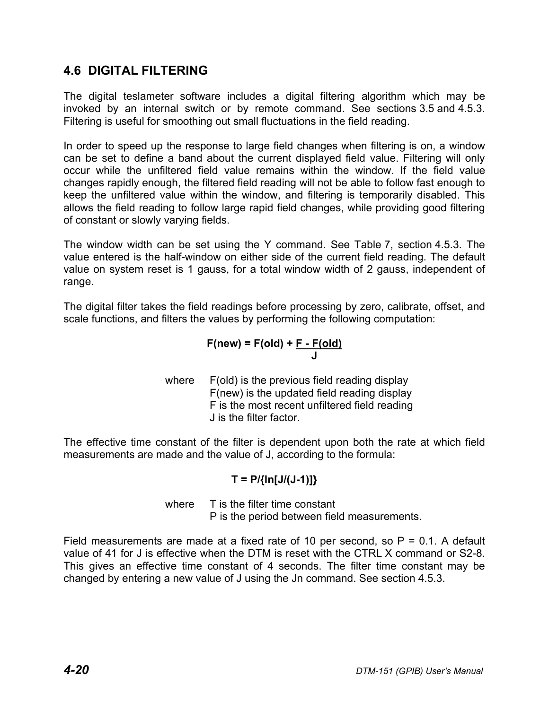## **4.6 DIGITAL FILTERING**

The digital teslameter software includes a digital filtering algorithm which may be invoked by an internal switch or by remote command. See sections 3.5 and 4.5.3. Filtering is useful for smoothing out small fluctuations in the field reading.

In order to speed up the response to large field changes when filtering is on, a window can be set to define a band about the current displayed field value. Filtering will only occur while the unfiltered field value remains within the window. If the field value changes rapidly enough, the filtered field reading will not be able to follow fast enough to keep the unfiltered value within the window, and filtering is temporarily disabled. This allows the field reading to follow large rapid field changes, while providing good filtering of constant or slowly varying fields.

The window width can be set using the Y command. See Table 7, section 4.5.3. The value entered is the half-window on either side of the current field reading. The default value on system reset is 1 gauss, for a total window width of 2 gauss, independent of range.

The digital filter takes the field readings before processing by zero, calibrate, offset, and scale functions, and filters the values by performing the following computation:

$$
F(new) = F(old) + F - F(old)
$$

where F(old) is the previous field reading display F(new) is the updated field reading display F is the most recent unfiltered field reading J is the filter factor.

The effective time constant of the filter is dependent upon both the rate at which field measurements are made and the value of J, according to the formula:

## **T = P/{ln[J/(J-1)]}**

where T is the filter time constant P is the period between field measurements.

Field measurements are made at a fixed rate of 10 per second, so  $P = 0.1$ . A default value of 41 for J is effective when the DTM is reset with the CTRL X command or S2-8. This gives an effective time constant of 4 seconds. The filter time constant may be changed by entering a new value of J using the Jn command. See section 4.5.3.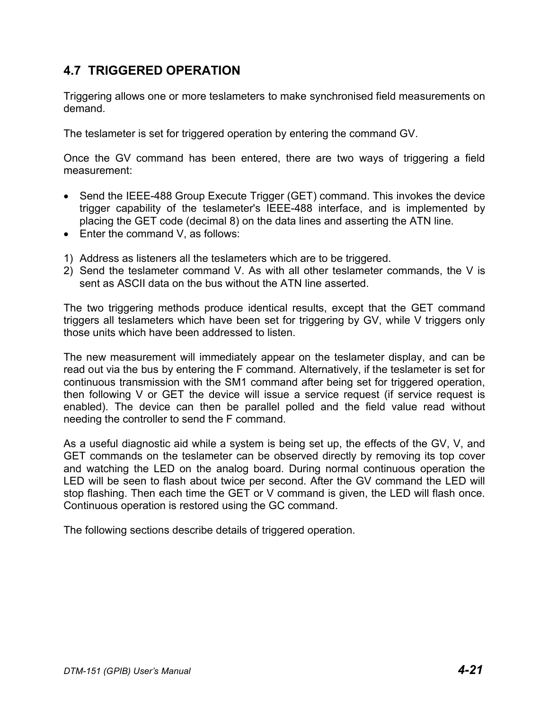## **4.7 TRIGGERED OPERATION**

Triggering allows one or more teslameters to make synchronised field measurements on demand.

The teslameter is set for triggered operation by entering the command GV.

Once the GV command has been entered, there are two ways of triggering a field measurement:

- Send the IEEE-488 Group Execute Trigger (GET) command. This invokes the device trigger capability of the teslameter's IEEE-488 interface, and is implemented by placing the GET code (decimal 8) on the data lines and asserting the ATN line.
- Enter the command V, as follows:
- 1) Address as listeners all the teslameters which are to be triggered.
- 2) Send the teslameter command V. As with all other teslameter commands, the V is sent as ASCII data on the bus without the ATN line asserted.

The two triggering methods produce identical results, except that the GET command triggers all teslameters which have been set for triggering by GV, while V triggers only those units which have been addressed to listen.

The new measurement will immediately appear on the teslameter display, and can be read out via the bus by entering the F command. Alternatively, if the teslameter is set for continuous transmission with the SM1 command after being set for triggered operation, then following V or GET the device will issue a service request (if service request is enabled). The device can then be parallel polled and the field value read without needing the controller to send the F command.

As a useful diagnostic aid while a system is being set up, the effects of the GV, V, and GET commands on the teslameter can be observed directly by removing its top cover and watching the LED on the analog board. During normal continuous operation the LED will be seen to flash about twice per second. After the GV command the LED will stop flashing. Then each time the GET or V command is given, the LED will flash once. Continuous operation is restored using the GC command.

The following sections describe details of triggered operation.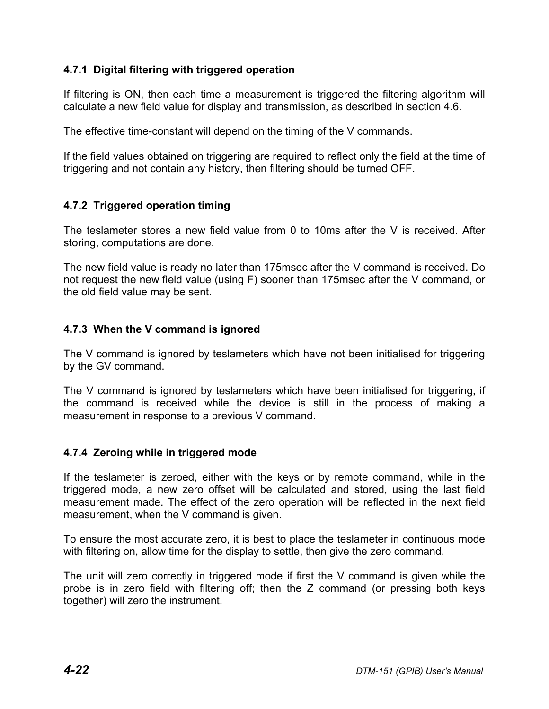## **4.7.1 Digital filtering with triggered operation**

If filtering is ON, then each time a measurement is triggered the filtering algorithm will calculate a new field value for display and transmission, as described in section 4.6.

The effective time-constant will depend on the timing of the V commands.

If the field values obtained on triggering are required to reflect only the field at the time of triggering and not contain any history, then filtering should be turned OFF.

## **4.7.2 Triggered operation timing**

The teslameter stores a new field value from 0 to 10ms after the V is received. After storing, computations are done.

The new field value is ready no later than 175msec after the V command is received. Do not request the new field value (using F) sooner than 175msec after the V command, or the old field value may be sent.

## **4.7.3 When the V command is ignored**

The V command is ignored by teslameters which have not been initialised for triggering by the GV command.

The V command is ignored by teslameters which have been initialised for triggering, if the command is received while the device is still in the process of making a measurement in response to a previous V command.

## **4.7.4 Zeroing while in triggered mode**

If the teslameter is zeroed, either with the keys or by remote command, while in the triggered mode, a new zero offset will be calculated and stored, using the last field measurement made. The effect of the zero operation will be reflected in the next field measurement, when the V command is given.

To ensure the most accurate zero, it is best to place the teslameter in continuous mode with filtering on, allow time for the display to settle, then give the zero command.

The unit will zero correctly in triggered mode if first the V command is given while the probe is in zero field with filtering off; then the Z command (or pressing both keys together) will zero the instrument.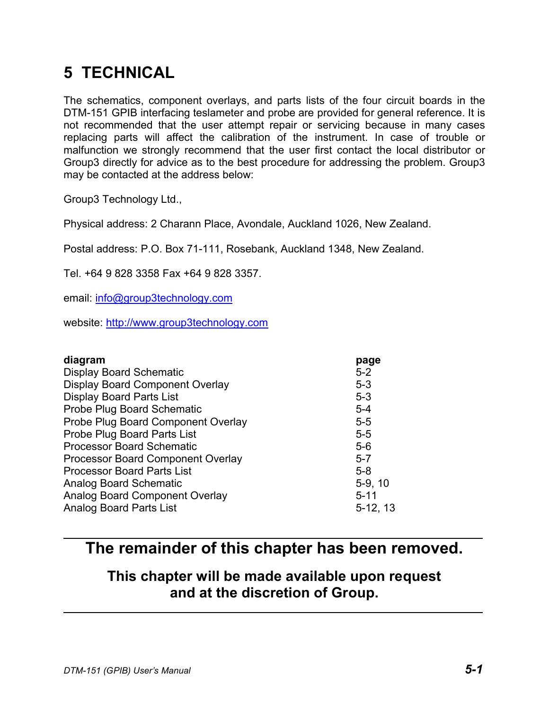# **5 TECHNICAL**

The schematics, component overlays, and parts lists of the four circuit boards in the DTM-151 GPIB interfacing teslameter and probe are provided for general reference. It is not recommended that the user attempt repair or servicing because in many cases replacing parts will affect the calibration of the instrument. In case of trouble or malfunction we strongly recommend that the user first contact the local distributor or Group3 directly for advice as to the best procedure for addressing the problem. Group3 may be contacted at the address below:

Group3 Technology Ltd.,

Physical address: 2 Charann Place, Avondale, Auckland 1026, New Zealand.

Postal address: P.O. Box 71-111, Rosebank, Auckland 1348, New Zealand.

Tel. +64 9 828 3358 Fax +64 9 828 3357.

email: info@group3technology.com

website: http://www.group3technology.com

| $5-9, 10$  |
|------------|
|            |
| $5-12, 13$ |
| $5 - 11$   |

# **The remainder of this chapter has been removed.**

# **This chapter will be made available upon request and at the discretion of Group.**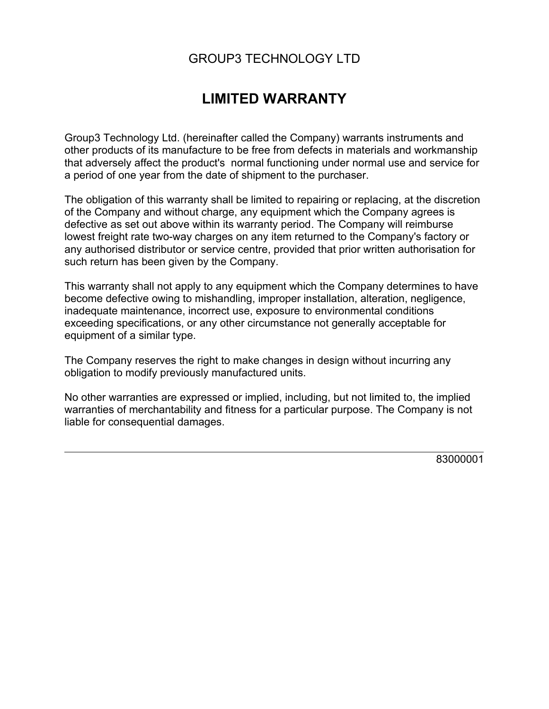# GROUP3 TECHNOLOGY LTD

# **LIMITED WARRANTY**

Group3 Technology Ltd. (hereinafter called the Company) warrants instruments and other products of its manufacture to be free from defects in materials and workmanship that adversely affect the product's normal functioning under normal use and service for a period of one year from the date of shipment to the purchaser.

The obligation of this warranty shall be limited to repairing or replacing, at the discretion of the Company and without charge, any equipment which the Company agrees is defective as set out above within its warranty period. The Company will reimburse lowest freight rate two-way charges on any item returned to the Company's factory or any authorised distributor or service centre, provided that prior written authorisation for such return has been given by the Company.

This warranty shall not apply to any equipment which the Company determines to have become defective owing to mishandling, improper installation, alteration, negligence, inadequate maintenance, incorrect use, exposure to environmental conditions exceeding specifications, or any other circumstance not generally acceptable for equipment of a similar type.

The Company reserves the right to make changes in design without incurring any obligation to modify previously manufactured units.

No other warranties are expressed or implied, including, but not limited to, the implied warranties of merchantability and fitness for a particular purpose. The Company is not liable for consequential damages.

83000001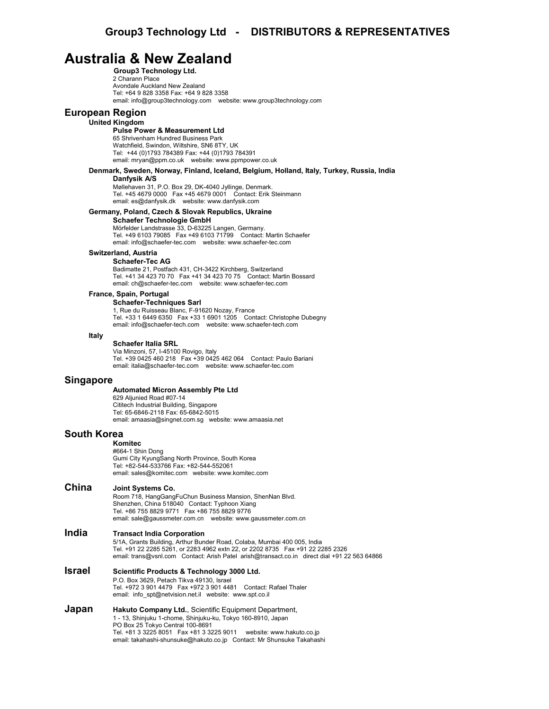## **Australia & New Zealand**

**Group3 Technology Ltd.** 2 Charann Place Avondale Auckland New Zealand Tel: +64 9 828 3358 Fax: +64 9 828 3358 email: info@group3technology.com website: www.group3technology.com

#### **European Region**

#### **United Kingdom**

**Pulse Power & Measurement Ltd** 65 Shrivenham Hundred Business Park Watchfield, Swindon, Wiltshire, SN6 8TY, UK Tel: +44 (0)1793 784389 Fax: +44 (0)1793 784391 email: mryan@ppm.co.uk website: www.ppmpower.co.uk

#### **Denmark, Sweden, Norway, Finland, Iceland, Belgium, Holland, Italy, Turkey, Russia, India**

#### **Danfysik A/S**

Møllehaven 31, P.O. Box 29, DK-4040 Jyllinge, Denmark. Tel. +45 4679 0000 Fax +45 4679 0001 Contact: Erik Steinmann email: es@danfysik.dk website: www.danfysik.com

#### **Germany, Poland, Czech & Slovak Republics, Ukraine**

**Schaefer Technologie GmbH** Mörfelder Landstrasse 33, D-63225 Langen, Germany. Tel. +49 6103 79085 Fax +49 6103 71799 Contact: Martin Schaefer email: info@schaefer-tec.com website: www.schaefer-tec.com

#### **Switzerland, Austria**

**Schaefer-Tec AG** Badimatte 21, Postfach 431, CH-3422 Kirchberg, Switzerland Tel. +41 34 423 70 70 Fax +41 34 423 70 75 Contact: Martin Bossard email: ch@schaefer-tec.com website: www.schaefer-tec.com

#### **France, Spain, Portugal**

**Schaefer-Techniques Sarl** 1, Rue du Ruisseau Blanc, F-91620 Nozay, France Tel. +33 1 6449 6350 Fax +33 1 6901 1205 Contact: Christophe Dubegny email: info@schaefer-tech.com website: www.schaefer-tech.com

#### **Italy**

#### **Schaefer Italia SRL**

Via Minzoni, 57, I-45100 Rovigo, Italy Tel. +39 0425 460 218 Fax +39 0425 462 064 Contact: Paulo Bariani email: italia@schaefer-tec.com website: www.schaefer-tec.com

#### **Singapore**

#### **Automated Micron Assembly Pte Ltd**

629 Aljunied Road #07-14 Cititech Industrial Building, Singapore Tel: 65-6846-2118 Fax: 65-6842-5015 email: amaasia@singnet.com.sg website: www.amaasia.net

#### **South Korea**

#### **Komitec**

#664-1 Shin Dong Gumi City KyungSang North Province, South Korea Tel: +82-544-533766 Fax: +82-544-552061 email: sales@komitec.com website: www.komitec.com

#### **China Joint Systems Co.**

Room 718, HangGangFuChun Business Mansion, ShenNan Blvd. Shenzhen, China 518040 Contact: Typhoon Xiang Tel. +86 755 8829 9771 Fax +86 755 8829 9776 email: sale@gaussmeter.com.cn website: www.gaussmeter.com.cn

#### **India Transact India Corporation**

5/1A, Grants Building, Arthur Bunder Road, Colaba, Mumbai 400 005, India Tel. +91 22 2285 5261, or 2283 4962 extn 22, or 2202 8735 Fax +91 22 2285 2326 email: trans@vsnl.com Contact: Arish Patel arish@transact.co.in direct dial +91 22 563 64866

#### **Israel Scientific Products & Technology 3000 Ltd.** P.O. Box 3629, Petach Tikva 49130, Israel Tel. +972 3 901 4479 Fax +972 3 901 4481 Contact: Rafael Thaler email: info\_spt@netvision.net.il website: www.spt.co.il

**Japan Hakuto Company Ltd.**, Scientific Equipment Department, 1 - 13, Shinjuku 1-chome, Shinjuku-ku, Tokyo 160-8910, Japan PO Box 25 Tokyo Central 100-8691 Tel. +81 3 3225 8051 Fax +81 3 3225 9011 website: www.hakuto.co.jp email: takahashi-shunsuke@hakuto.co.jp Contact: Mr Shunsuke Takahashi